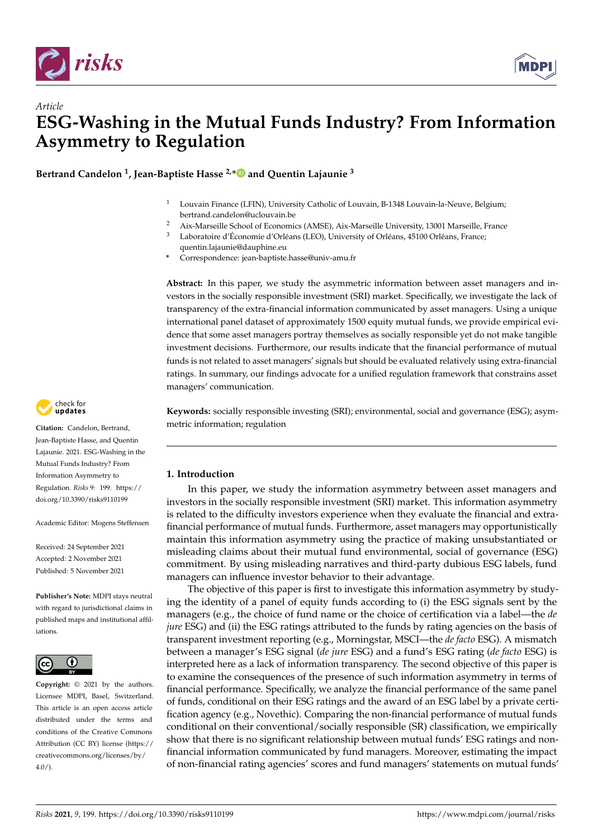

*Article*



# **ESG-Washing in the Mutual Funds Industry? From Information Asymmetry to Regulation**

**Bertrand Candelon <sup>1</sup> , Jean-Baptiste Hasse 2,[\\*](https://orcid.org/0000-0003-1075-7819) and Quentin Lajaunie <sup>3</sup>**

- <sup>1</sup> Louvain Finance (LFIN), University Catholic of Louvain, B-1348 Louvain-la-Neuve, Belgium; bertrand.candelon@uclouvain.be
- 2 Aix-Marseille School of Economics (AMSE), Aix-Marseille University, 13001 Marseille, France<br> $\frac{3}{2}$  I aboratoire d'Économic d'Orléans (LEO), University of Orléans, 45100 Orléans, France
- Laboratoire d'Économie d'Orléans (LEO), University of Orléans, 45100 Orléans, France;
	- quentin.lajaunie@dauphine.eu
- **\*** Correspondence: jean-baptiste.hasse@univ-amu.fr

**Abstract:** In this paper, we study the asymmetric information between asset managers and investors in the socially responsible investment (SRI) market. Specifically, we investigate the lack of transparency of the extra-financial information communicated by asset managers. Using a unique international panel dataset of approximately 1500 equity mutual funds, we provide empirical evidence that some asset managers portray themselves as socially responsible yet do not make tangible investment decisions. Furthermore, our results indicate that the financial performance of mutual funds is not related to asset managers' signals but should be evaluated relatively using extra-financial ratings. In summary, our findings advocate for a unified regulation framework that constrains asset managers' communication.

**Keywords:** socially responsible investing (SRI); environmental, social and governance (ESG); asymmetric information; regulation

# **1. Introduction**

In this paper, we study the information asymmetry between asset managers and investors in the socially responsible investment (SRI) market. This information asymmetry is related to the difficulty investors experience when they evaluate the financial and extrafinancial performance of mutual funds. Furthermore, asset managers may opportunistically maintain this information asymmetry using the practice of making unsubstantiated or misleading claims about their mutual fund environmental, social of governance (ESG) commitment. By using misleading narratives and third-party dubious ESG labels, fund managers can influence investor behavior to their advantage.

The objective of this paper is first to investigate this information asymmetry by studying the identity of a panel of equity funds according to (i) the ESG signals sent by the managers (e.g., the choice of fund name or the choice of certification via a label—the *de jure* ESG) and (ii) the ESG ratings attributed to the funds by rating agencies on the basis of transparent investment reporting (e.g., Morningstar, MSCI—the *de facto* ESG). A mismatch between a manager's ESG signal (*de jure* ESG) and a fund's ESG rating (*de facto* ESG) is interpreted here as a lack of information transparency. The second objective of this paper is to examine the consequences of the presence of such information asymmetry in terms of financial performance. Specifically, we analyze the financial performance of the same panel of funds, conditional on their ESG ratings and the award of an ESG label by a private certification agency (e.g., Novethic). Comparing the non-financial performance of mutual funds conditional on their conventional/socially responsible (SR) classification, we empirically show that there is no significant relationship between mutual funds' ESG ratings and nonfinancial information communicated by fund managers. Moreover, estimating the impact of non-financial rating agencies' scores and fund managers' statements on mutual funds'



**Citation:** Candelon, Bertrand, Jean-Baptiste Hasse, and Quentin Lajaunie. 2021. ESG-Washing in the Mutual Funds Industry? From Information Asymmetry to Regulation. *Risks* 9: 199. [https://](https://doi.org/10.3390/risks9110199) [doi.org/10.3390/risks9110199](https://doi.org/10.3390/risks9110199)

Academic Editor: Mogens Steffensen

Received: 24 September 2021 Accepted: 2 November 2021 Published: 5 November 2021

**Publisher's Note:** MDPI stays neutral with regard to jurisdictional claims in published maps and institutional affiliations.



**Copyright:** © 2021 by the authors. Licensee MDPI, Basel, Switzerland. This article is an open access article distributed under the terms and conditions of the Creative Commons Attribution (CC BY) license (https:/[/](https://creativecommons.org/licenses/by/4.0/) [creativecommons.org/licenses/by/](https://creativecommons.org/licenses/by/4.0/)  $4.0/$ ).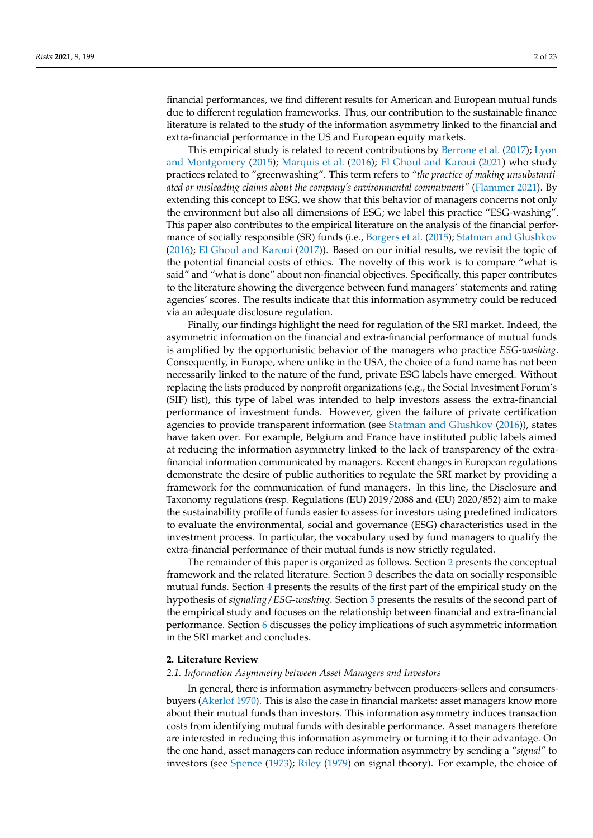financial performances, we find different results for American and European mutual funds due to different regulation frameworks. Thus, our contribution to the sustainable finance literature is related to the study of the information asymmetry linked to the financial and extra-financial performance in the US and European equity markets.

This empirical study is related to recent contributions by [Berrone et al.](#page-21-0) [\(2017\)](#page-21-0); [Lyon](#page-22-0) [and Montgomery](#page-22-0) [\(2015\)](#page-22-0); [Marquis et al.](#page-22-1) [\(2016\)](#page-22-1); [El Ghoul and Karoui](#page-22-2) [\(2021\)](#page-22-2) who study practices related to "greenwashing". This term refers to *"the practice of making unsubstantiated or misleading claims about the company's environmental commitment"* [\(Flammer](#page-22-3) [2021\)](#page-22-3). By extending this concept to ESG, we show that this behavior of managers concerns not only the environment but also all dimensions of ESG; we label this practice "ESG-washing". This paper also contributes to the empirical literature on the analysis of the financial performance of socially responsible (SR) funds (i.e., [Borgers et al.](#page-21-1) [\(2015\)](#page-21-1); [Statman and Glushkov](#page-22-4) [\(2016\)](#page-22-4); [El Ghoul and Karoui](#page-22-5) [\(2017\)](#page-22-5)). Based on our initial results, we revisit the topic of the potential financial costs of ethics. The novelty of this work is to compare "what is said" and "what is done" about non-financial objectives. Specifically, this paper contributes to the literature showing the divergence between fund managers' statements and rating agencies' scores. The results indicate that this information asymmetry could be reduced via an adequate disclosure regulation.

Finally, our findings highlight the need for regulation of the SRI market. Indeed, the asymmetric information on the financial and extra-financial performance of mutual funds is amplified by the opportunistic behavior of the managers who practice *ESG-washing*. Consequently, in Europe, where unlike in the USA, the choice of a fund name has not been necessarily linked to the nature of the fund, private ESG labels have emerged. Without replacing the lists produced by nonprofit organizations (e.g., the Social Investment Forum's (SIF) list), this type of label was intended to help investors assess the extra-financial performance of investment funds. However, given the failure of private certification agencies to provide transparent information (see [Statman and Glushkov](#page-22-4) [\(2016\)](#page-22-4)), states have taken over. For example, Belgium and France have instituted public labels aimed at reducing the information asymmetry linked to the lack of transparency of the extrafinancial information communicated by managers. Recent changes in European regulations demonstrate the desire of public authorities to regulate the SRI market by providing a framework for the communication of fund managers. In this line, the Disclosure and Taxonomy regulations (resp. Regulations (EU) 2019/2088 and (EU) 2020/852) aim to make the sustainability profile of funds easier to assess for investors using predefined indicators to evaluate the environmental, social and governance (ESG) characteristics used in the investment process. In particular, the vocabulary used by fund managers to qualify the extra-financial performance of their mutual funds is now strictly regulated.

The remainder of this paper is organized as follows. Section [2](#page-1-0) presents the conceptual framework and the related literature. Section [3](#page-2-0) describes the data on socially responsible mutual funds. Section [4](#page-4-0) presents the results of the first part of the empirical study on the hypothesis of *signaling*/*ESG-washing*. Section [5](#page-8-0) presents the results of the second part of the empirical study and focuses on the relationship between financial and extra-financial performance. Section [6](#page-17-0) discusses the policy implications of such asymmetric information in the SRI market and concludes.

## <span id="page-1-0"></span>**2. Literature Review**

#### *2.1. Information Asymmetry between Asset Managers and Investors*

In general, there is information asymmetry between producers-sellers and consumersbuyers [\(Akerlof](#page-21-2) [1970\)](#page-21-2). This is also the case in financial markets: asset managers know more about their mutual funds than investors. This information asymmetry induces transaction costs from identifying mutual funds with desirable performance. Asset managers therefore are interested in reducing this information asymmetry or turning it to their advantage. On the one hand, asset managers can reduce information asymmetry by sending a *"signal"* to investors (see [Spence](#page-22-6) [\(1973\)](#page-22-6); [Riley](#page-22-7) [\(1979\)](#page-22-7) on signal theory). For example, the choice of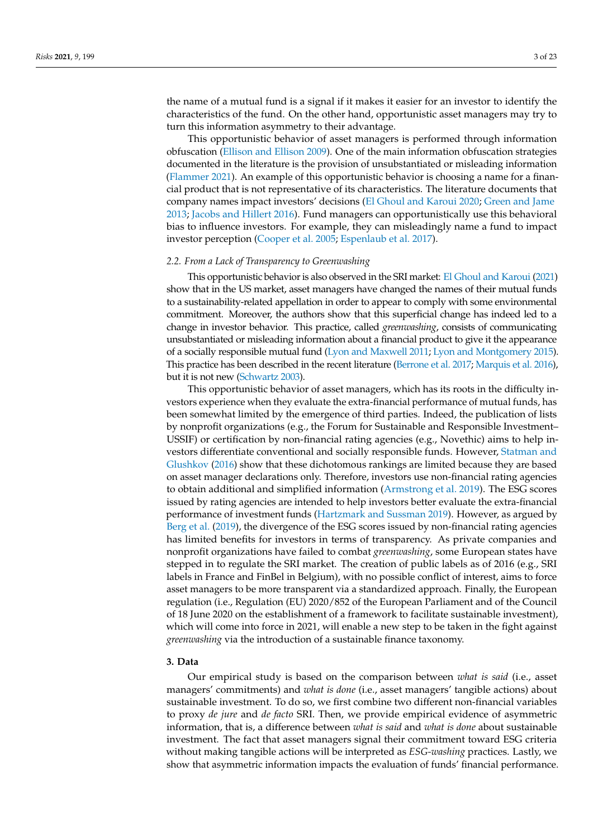the name of a mutual fund is a signal if it makes it easier for an investor to identify the characteristics of the fund. On the other hand, opportunistic asset managers may try to turn this information asymmetry to their advantage.

This opportunistic behavior of asset managers is performed through information obfuscation [\(Ellison and Ellison](#page-22-8) [2009\)](#page-22-8). One of the main information obfuscation strategies documented in the literature is the provision of unsubstantiated or misleading information [\(Flammer](#page-22-3) [2021\)](#page-22-3). An example of this opportunistic behavior is choosing a name for a financial product that is not representative of its characteristics. The literature documents that company names impact investors' decisions [\(El Ghoul and Karoui](#page-22-9) [2020;](#page-22-9) [Green and Jame](#page-22-10) [2013;](#page-22-10) [Jacobs and Hillert](#page-22-11) [2016\)](#page-22-11). Fund managers can opportunistically use this behavioral bias to influence investors. For example, they can misleadingly name a fund to impact investor perception [\(Cooper et al.](#page-21-3) [2005;](#page-21-3) [Espenlaub et al.](#page-22-12) [2017\)](#page-22-12).

### *2.2. From a Lack of Transparency to Greenwashing*

This opportunistic behavior is also observed in the SRI market: [El Ghoul and Karoui](#page-22-2) [\(2021\)](#page-22-2) show that in the US market, asset managers have changed the names of their mutual funds to a sustainability-related appellation in order to appear to comply with some environmental commitment. Moreover, the authors show that this superficial change has indeed led to a change in investor behavior. This practice, called *greenwashing*, consists of communicating unsubstantiated or misleading information about a financial product to give it the appearance of a socially responsible mutual fund [\(Lyon and Maxwell](#page-22-13) [2011;](#page-22-13) [Lyon and Montgomery](#page-22-0) [2015\)](#page-22-0). This practice has been described in the recent literature [\(Berrone et al.](#page-21-0) [2017;](#page-21-0) [Marquis et al.](#page-22-1) [2016\)](#page-22-1), but it is not new [\(Schwartz](#page-22-14) [2003\)](#page-22-14).

This opportunistic behavior of asset managers, which has its roots in the difficulty investors experience when they evaluate the extra-financial performance of mutual funds, has been somewhat limited by the emergence of third parties. Indeed, the publication of lists by nonprofit organizations (e.g., the Forum for Sustainable and Responsible Investment– USSIF) or certification by non-financial rating agencies (e.g., Novethic) aims to help investors differentiate conventional and socially responsible funds. However, [Statman and](#page-22-4) [Glushkov](#page-22-4) [\(2016\)](#page-22-4) show that these dichotomous rankings are limited because they are based on asset manager declarations only. Therefore, investors use non-financial rating agencies to obtain additional and simplified information [\(Armstrong et al.](#page-21-4) [2019\)](#page-21-4). The ESG scores issued by rating agencies are intended to help investors better evaluate the extra-financial performance of investment funds [\(Hartzmark and Sussman](#page-22-15) [2019\)](#page-22-15). However, as argued by [Berg et al.](#page-21-5) [\(2019\)](#page-21-5), the divergence of the ESG scores issued by non-financial rating agencies has limited benefits for investors in terms of transparency. As private companies and nonprofit organizations have failed to combat *greenwashing*, some European states have stepped in to regulate the SRI market. The creation of public labels as of 2016 (e.g., SRI labels in France and FinBel in Belgium), with no possible conflict of interest, aims to force asset managers to be more transparent via a standardized approach. Finally, the European regulation (i.e., Regulation (EU) 2020/852 of the European Parliament and of the Council of 18 June 2020 on the establishment of a framework to facilitate sustainable investment), which will come into force in 2021, will enable a new step to be taken in the fight against *greenwashing* via the introduction of a sustainable finance taxonomy.

# <span id="page-2-0"></span>**3. Data**

Our empirical study is based on the comparison between *what is said* (i.e., asset managers' commitments) and *what is done* (i.e., asset managers' tangible actions) about sustainable investment. To do so, we first combine two different non-financial variables to proxy *de jure* and *de facto* SRI. Then, we provide empirical evidence of asymmetric information, that is, a difference between *what is said* and *what is done* about sustainable investment. The fact that asset managers signal their commitment toward ESG criteria without making tangible actions will be interpreted as *ESG-washing* practices. Lastly, we show that asymmetric information impacts the evaluation of funds' financial performance.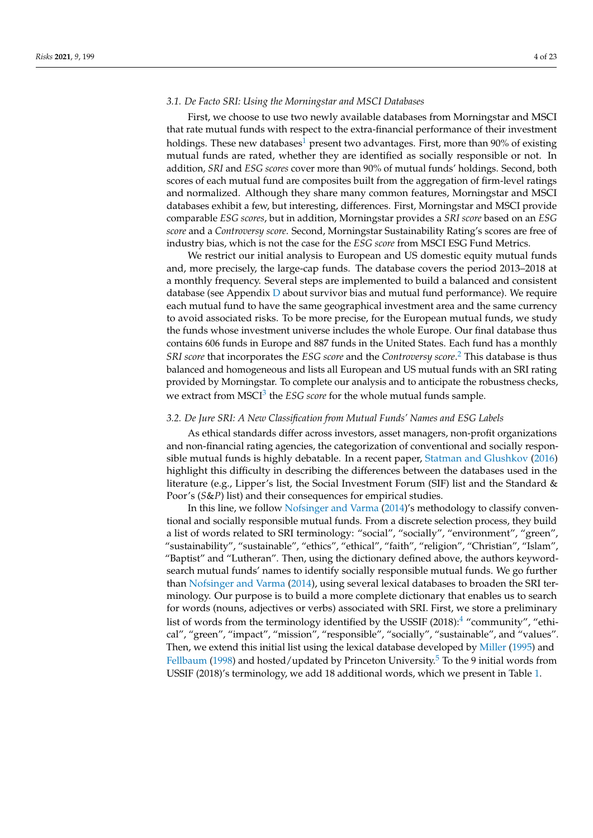## *3.1. De Facto SRI: Using the Morningstar and MSCI Databases*

<span id="page-3-0"></span>First, we choose to use two newly available databases from Morningstar and MSCI that rate mutual funds with respect to the extra-financial performance of their investment holdings. These new databases<sup>[1](#page-20-0)</sup> present two advantages. First, more than  $90\%$  of existing mutual funds are rated, whether they are identified as socially responsible or not. In addition, *SRI* and *ESG scores* cover more than 90% of mutual funds' holdings. Second, both scores of each mutual fund are composites built from the aggregation of firm-level ratings and normalized. Although they share many common features, Morningstar and MSCI databases exhibit a few, but interesting, differences. First, Morningstar and MSCI provide comparable *ESG scores*, but in addition, Morningstar provides a *SRI score* based on an *ESG score* and a *Controversy score*. Second, Morningstar Sustainability Rating's scores are free of industry bias, which is not the case for the *ESG score* from MSCI ESG Fund Metrics.

We restrict our initial analysis to European and US domestic equity mutual funds and, more precisely, the large-cap funds. The database covers the period 2013–2018 at a monthly frequency. Several steps are implemented to build a balanced and consistent database (see Appendix [D](#page-20-1) about survivor bias and mutual fund performance). We require each mutual fund to have the same geographical investment area and the same currency to avoid associated risks. To be more precise, for the European mutual funds, we study the funds whose investment universe includes the whole Europe. Our final database thus contains 606 funds in Europe and 887 funds in the United States. Each fund has a monthly *SRI score* that incorporates the *ESG score* and the *Controversy score*. [2](#page-21-6) This database is thus balanced and homogeneous and lists all European and US mutual funds with an SRI rating provided by Morningstar. To complete our analysis and to anticipate the robustness checks, we extract from MSCI<sup>[3](#page-21-7)</sup> the *ESG score* for the whole mutual funds sample.

## <span id="page-3-2"></span><span id="page-3-1"></span>*3.2. De Jure SRI: A New Classification from Mutual Funds' Names and ESG Labels*

As ethical standards differ across investors, asset managers, non-profit organizations and non-financial rating agencies, the categorization of conventional and socially responsible mutual funds is highly debatable. In a recent paper, [Statman and Glushkov](#page-22-4) [\(2016\)](#page-22-4) highlight this difficulty in describing the differences between the databases used in the literature (e.g., Lipper's list, the Social Investment Forum (SIF) list and the Standard & Poor's (*S*&*P*) list) and their consequences for empirical studies.

<span id="page-3-4"></span><span id="page-3-3"></span>In this line, we follow [Nofsinger and Varma](#page-22-16) [\(2014\)](#page-22-16)'s methodology to classify conventional and socially responsible mutual funds. From a discrete selection process, they build a list of words related to SRI terminology: "social", "socially", "environment", "green", "sustainability", "sustainable", "ethics", "ethical", "faith", "religion", "Christian", "Islam", "Baptist" and "Lutheran". Then, using the dictionary defined above, the authors keywordsearch mutual funds' names to identify socially responsible mutual funds. We go further than [Nofsinger and Varma](#page-22-16) [\(2014\)](#page-22-16), using several lexical databases to broaden the SRI terminology. Our purpose is to build a more complete dictionary that enables us to search for words (nouns, adjectives or verbs) associated with SRI. First, we store a preliminary list of words from the terminology identified by the USSIF  $(2018)$ :<sup>[4](#page-21-8)</sup> "community", "ethical", "green", "impact", "mission", "responsible", "socially", "sustainable", and "values". Then, we extend this initial list using the lexical database developed by [Miller](#page-22-17) [\(1995\)](#page-22-17) and [Fellbaum](#page-22-18) [\(1998\)](#page-22-18) and hosted/updated by Princeton University.<sup>[5](#page-21-9)</sup> To the 9 initial words from USSIF (2018)'s terminology, we add 18 additional words, which we present in Table [1.](#page-4-1)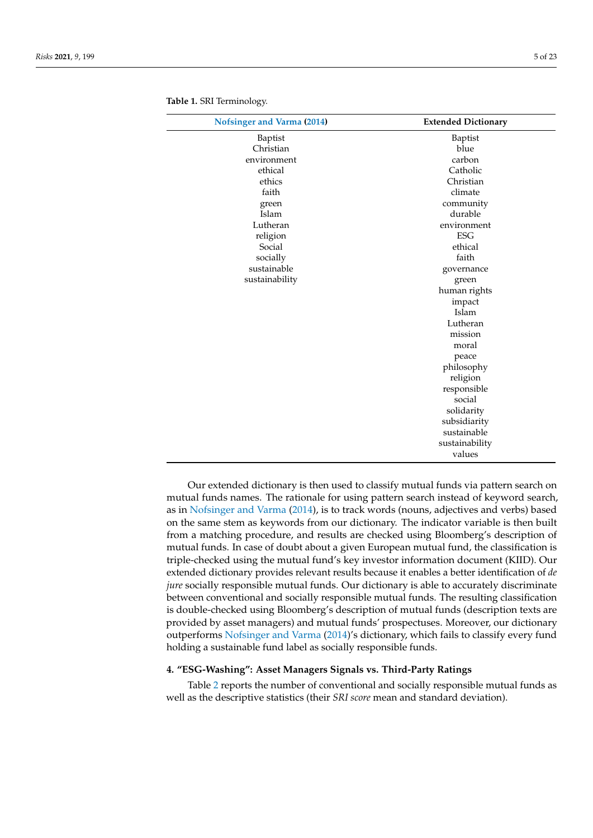| <b>Nofsinger and Varma (2014)</b> | <b>Extended Dictionary</b> |
|-----------------------------------|----------------------------|
| Baptist                           | Baptist                    |
| Christian                         | blue                       |
| environment                       | carbon                     |
| ethical                           | Catholic                   |
| ethics                            | Christian                  |
| faith                             | climate                    |
| green                             | community                  |
| Islam                             | durable                    |
| Lutheran                          | environment                |
| religion                          | <b>ESG</b>                 |
| Social                            | ethical                    |
| socially                          | faith                      |
| sustainable                       | governance                 |
| sustainability                    | green                      |
|                                   | human rights               |
|                                   | impact                     |
|                                   | Islam                      |
|                                   | Lutheran                   |
|                                   | mission                    |
|                                   | moral                      |
|                                   | peace                      |
|                                   | philosophy                 |
|                                   | religion                   |
|                                   | responsible                |
|                                   | social                     |
|                                   | solidarity                 |
|                                   | subsidiarity               |
|                                   | sustainable                |
|                                   | sustainability             |
|                                   | values                     |

<span id="page-4-1"></span>**Table 1.** SRI Terminology.

Our extended dictionary is then used to classify mutual funds via pattern search on mutual funds names. The rationale for using pattern search instead of keyword search, as in [Nofsinger and Varma](#page-22-16) [\(2014\)](#page-22-16), is to track words (nouns, adjectives and verbs) based on the same stem as keywords from our dictionary. The indicator variable is then built from a matching procedure, and results are checked using Bloomberg's description of mutual funds. In case of doubt about a given European mutual fund, the classification is triple-checked using the mutual fund's key investor information document (KIID). Our extended dictionary provides relevant results because it enables a better identification of *de jure* socially responsible mutual funds. Our dictionary is able to accurately discriminate between conventional and socially responsible mutual funds. The resulting classification is double-checked using Bloomberg's description of mutual funds (description texts are provided by asset managers) and mutual funds' prospectuses. Moreover, our dictionary outperforms [Nofsinger and Varma](#page-22-16) [\(2014\)](#page-22-16)'s dictionary, which fails to classify every fund holding a sustainable fund label as socially responsible funds.

# <span id="page-4-0"></span>**4. "ESG-Washing": Asset Managers Signals vs. Third-Party Ratings**

Table [2](#page-5-0) reports the number of conventional and socially responsible mutual funds as well as the descriptive statistics (their *SRI score* mean and standard deviation).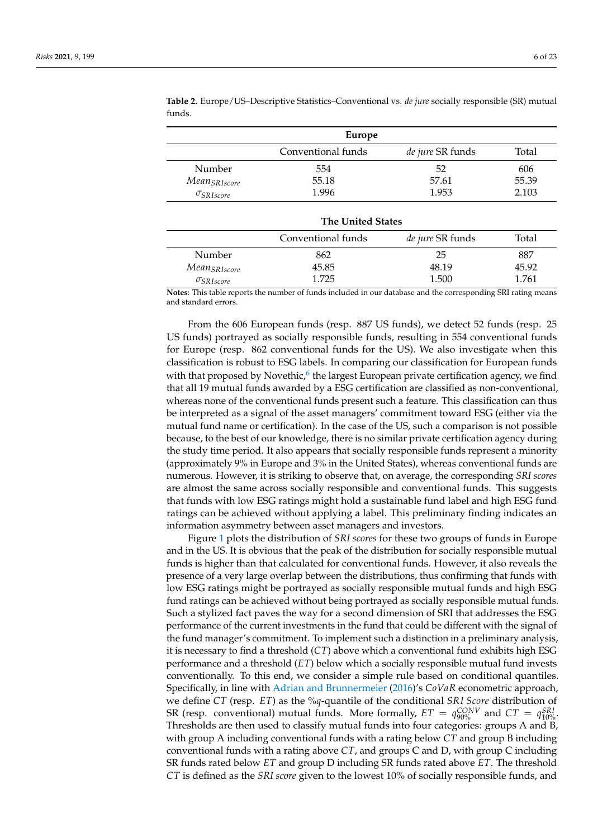| Europe                   |                          |                         |       |  |
|--------------------------|--------------------------|-------------------------|-------|--|
|                          | Conventional funds       | <i>de jure</i> SR funds | Total |  |
| Number                   | 554                      | 52                      | 606   |  |
| Mean <sub>SRIscore</sub> | 55.18                    | 57.61                   | 55.39 |  |
| $\sigma_{SRIscore}$      | 1.996                    | 1.953                   | 2.103 |  |
|                          | <b>The United States</b> |                         |       |  |
|                          | Conventional funde       | de jure SR funds        | Total |  |

<span id="page-5-0"></span>**Table 2.** Europe/US–Descriptive Statistics–Conventional vs. *de jure* socially responsible (SR) mutual funds.

|                          | Conventional funds | <i>de jure</i> SR funds | Total |
|--------------------------|--------------------|-------------------------|-------|
| Number                   | 862                | 25                      | 887   |
| Mean <sub>SRIscore</sub> | 45.85              | 48.19                   | 45.92 |
| $\sigma_{SRI score}$     | 1.725              | 1.500                   | 1.761 |

**Notes**: This table reports the number of funds included in our database and the corresponding SRI rating means and standard errors.

<span id="page-5-1"></span>From the 606 European funds (resp. 887 US funds), we detect 52 funds (resp. 25 US funds) portrayed as socially responsible funds, resulting in 554 conventional funds for Europe (resp. 862 conventional funds for the US). We also investigate when this classification is robust to ESG labels. In comparing our classification for European funds with that proposed by Novethic,<sup>[6](#page-21-10)</sup> the largest European private certification agency, we find that all 19 mutual funds awarded by a ESG certification are classified as non-conventional, whereas none of the conventional funds present such a feature. This classification can thus be interpreted as a signal of the asset managers' commitment toward ESG (either via the mutual fund name or certification). In the case of the US, such a comparison is not possible because, to the best of our knowledge, there is no similar private certification agency during the study time period. It also appears that socially responsible funds represent a minority (approximately 9% in Europe and 3% in the United States), whereas conventional funds are numerous. However, it is striking to observe that, on average, the corresponding *SRI scores* are almost the same across socially responsible and conventional funds. This suggests that funds with low ESG ratings might hold a sustainable fund label and high ESG fund ratings can be achieved without applying a label. This preliminary finding indicates an information asymmetry between asset managers and investors.

Figure [1](#page-6-0) plots the distribution of *SRI scores* for these two groups of funds in Europe and in the US. It is obvious that the peak of the distribution for socially responsible mutual funds is higher than that calculated for conventional funds. However, it also reveals the presence of a very large overlap between the distributions, thus confirming that funds with low ESG ratings might be portrayed as socially responsible mutual funds and high ESG fund ratings can be achieved without being portrayed as socially responsible mutual funds. Such a stylized fact paves the way for a second dimension of SRI that addresses the ESG performance of the current investments in the fund that could be different with the signal of the fund manager's commitment. To implement such a distinction in a preliminary analysis, it is necessary to find a threshold (*CT*) above which a conventional fund exhibits high ESG performance and a threshold (*ET*) below which a socially responsible mutual fund invests conventionally. To this end, we consider a simple rule based on conditional quantiles. Specifically, in line with [Adrian and Brunnermeier](#page-21-11) [\(2016\)](#page-21-11)'s *CoVaR* econometric approach, we define *CT* (resp. *ET*) as the %*q*-quantile of the conditional *SRI Score* distribution of SR (resp. conventional) mutual funds. More formally,  $ET = q_{90\%}^{CONV}$  and  $CT = q_{10\%}^{SRI}$ . Thresholds are then used to classify mutual funds into four categories: groups A and B, with group A including conventional funds with a rating below *CT* and group B including conventional funds with a rating above *CT*, and groups C and D, with group C including SR funds rated below *ET* and group D including SR funds rated above *ET*. The threshold *CT* is defined as the *SRI score* given to the lowest 10% of socially responsible funds, and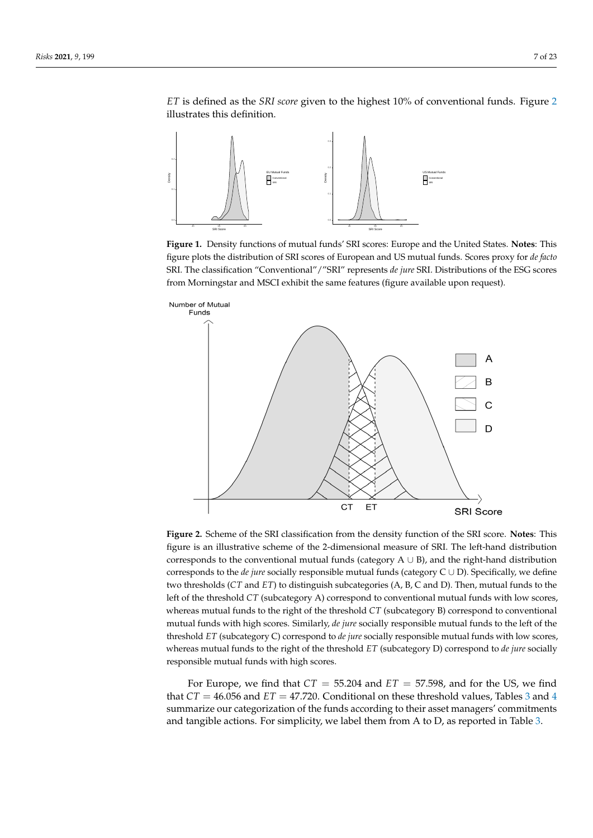*ET* is defined as the *SRI score* given to the highest 10% of conventional funds. Figure [2](#page-6-1) illustrates this definition.

<span id="page-6-0"></span>

**Figure 1.** Density functions of mutual funds' SRI scores: Europe and the United States. **Notes**: This figure plots the distribution of SRI scores of European and US mutual funds. Scores proxy for *de facto* SRI. The classification "Conventional"/"SRI" represents *de jure* SRI. Distributions of the ESG scores from Morningstar and MSCI exhibit the same features (figure available upon request).

<span id="page-6-1"></span>

**Figure 2.** Scheme of the SRI classification from the density function of the SRI score. **Notes**: This figure is an illustrative scheme of the 2-dimensional measure of SRI. The left-hand distribution corresponds to the conventional mutual funds (category  $A \cup B$ ), and the right-hand distribution corresponds to the *de jure* socially responsible mutual funds (category C ∪ D). Specifically, we define two thresholds (*CT* and *ET*) to distinguish subcategories (A, B, C and D). Then, mutual funds to the left of the threshold *CT* (subcategory A) correspond to conventional mutual funds with low scores, whereas mutual funds to the right of the threshold *CT* (subcategory B) correspond to conventional mutual funds with high scores. Similarly, *de jure* socially responsible mutual funds to the left of the threshold *ET* (subcategory C) correspond to *de jure* socially responsible mutual funds with low scores, whereas mutual funds to the right of the threshold *ET* (subcategory D) correspond to *de jure* socially responsible mutual funds with high scores.

For Europe, we find that  $CT = 55.204$  and  $ET = 57.598$ , and for the US, we find that  $CT = 46.056$  $CT = 46.056$  $CT = 46.056$  and  $ET = 47.720$ . Conditional on these threshold values, Tables [3](#page-7-0) and 4 summarize our categorization of the funds according to their asset managers' commitments and tangible actions. For simplicity, we label them from A to D, as reported in Table [3.](#page-7-0)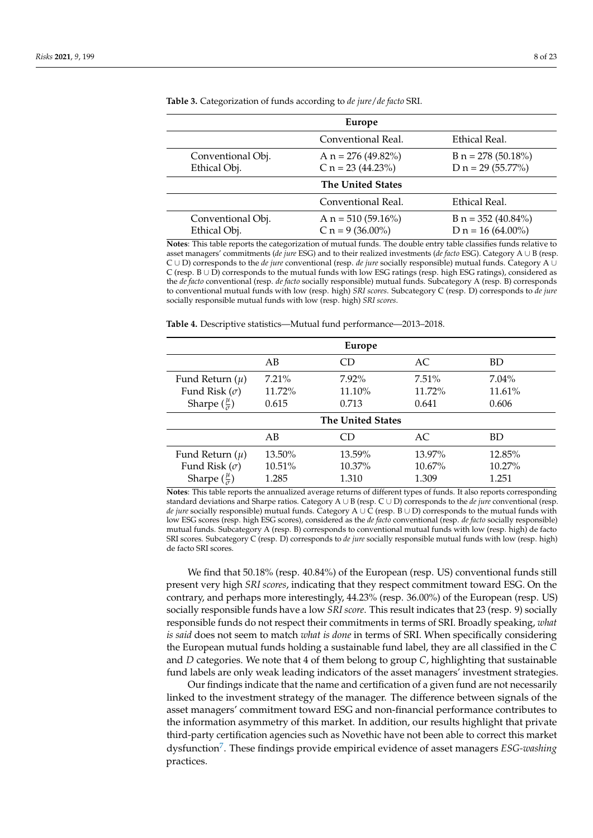| Europe                              |                                              |                                              |  |  |  |
|-------------------------------------|----------------------------------------------|----------------------------------------------|--|--|--|
| Ethical Real.<br>Conventional Real. |                                              |                                              |  |  |  |
| Conventional Obj.<br>Ethical Obj.   | A $n = 276 (49.82\%)$<br>C $n = 23$ (44.23%) | $B n = 278 (50.18\%)$<br>D $n = 29$ (55.77%) |  |  |  |
| <b>The United States</b>            |                                              |                                              |  |  |  |
|                                     | Conventional Real.                           | Ethical Real.                                |  |  |  |
| Conventional Obj.<br>Ethical Obj.   | A $n = 510 (59.16%)$<br>C $n = 9$ (36.00%)   | B n = $352(40.84\%)$<br>D $n = 16(64.00\%)$  |  |  |  |

<span id="page-7-0"></span>**Table 3.** Categorization of funds according to *de jure*/*de facto* SRI.

**Notes**: This table reports the categorization of mutual funds. The double entry table classifies funds relative to asset managers' commitments (*de jure* ESG) and to their realized investments (*de facto* ESG). Category A ∪ B (resp. C ∪ D) corresponds to the *de jure* conventional (resp. *de jure* socially responsible) mutual funds. Category A ∪ C (resp. B ∪ D) corresponds to the mutual funds with low ESG ratings (resp. high ESG ratings), considered as the *de facto* conventional (resp. *de facto* socially responsible) mutual funds. Subcategory A (resp. B) corresponds to conventional mutual funds with low (resp. high) *SRI scores*. Subcategory C (resp. D) corresponds to *de jure* socially responsible mutual funds with low (resp. high) *SRI scores*.

<span id="page-7-1"></span>

|  |  |  |  |  |  |  |  | <b>Table 4.</b> Descriptive statistics—Mutual fund performance—2013–2018. |  |  |
|--|--|--|--|--|--|--|--|---------------------------------------------------------------------------|--|--|
|--|--|--|--|--|--|--|--|---------------------------------------------------------------------------|--|--|

| <b>Europe</b>                                                                |                             |                                |                              |                                |  |
|------------------------------------------------------------------------------|-----------------------------|--------------------------------|------------------------------|--------------------------------|--|
|                                                                              | AB                          | CD                             | AC                           | <b>BD</b>                      |  |
| Fund Return $(\mu)$<br>Fund Risk $(\sigma)$<br>Sharpe $(\frac{\mu}{\sigma})$ | $7.21\%$<br>11.72%<br>0.615 | $7.92\%$<br>$11.10\%$<br>0.713 | $7.51\%$<br>11.72%<br>0.641  | $7.04\%$<br>$11.61\%$<br>0.606 |  |
|                                                                              |                             | <b>The United States</b>       |                              |                                |  |
|                                                                              | AB                          |                                | AC                           | <b>BD</b>                      |  |
| Fund Return $(\mu)$<br>Fund Risk $(\sigma)$<br>Sharpe $(\frac{\mu}{\sigma})$ | 13.50%<br>10.51%<br>1.285   | 13.59%<br>$10.37\%$<br>1.310   | 13.97%<br>$10.67\%$<br>1.309 | 12.85%<br>$10.27\%$<br>1.251   |  |

**Notes**: This table reports the annualized average returns of different types of funds. It also reports corresponding standard deviations and Sharpe ratios. Category A ∪ B (resp. C ∪ D) corresponds to the *de jure* conventional (resp. *de jure* socially responsible) mutual funds. Category A ∪ C (resp. B ∪ D) corresponds to the mutual funds with low ESG scores (resp. high ESG scores), considered as the *de facto* conventional (resp. *de facto* socially responsible) mutual funds. Subcategory A (resp. B) corresponds to conventional mutual funds with low (resp. high) de facto SRI scores. Subcategory C (resp. D) corresponds to *de jure* socially responsible mutual funds with low (resp. high) de facto SRI scores.

We find that 50.18% (resp. 40.84%) of the European (resp. US) conventional funds still present very high *SRI scores*, indicating that they respect commitment toward ESG. On the contrary, and perhaps more interestingly, 44.23% (resp. 36.00%) of the European (resp. US) socially responsible funds have a low *SRI score*. This result indicates that 23 (resp. 9) socially responsible funds do not respect their commitments in terms of SRI. Broadly speaking, *what is said* does not seem to match *what is done* in terms of SRI. When specifically considering the European mutual funds holding a sustainable fund label, they are all classified in the *C* and *D* categories. We note that 4 of them belong to group *C*, highlighting that sustainable fund labels are only weak leading indicators of the asset managers' investment strategies.

<span id="page-7-2"></span>Our findings indicate that the name and certification of a given fund are not necessarily linked to the investment strategy of the manager. The difference between signals of the asset managers' commitment toward ESG and non-financial performance contributes to the information asymmetry of this market. In addition, our results highlight that private third-party certification agencies such as Novethic have not been able to correct this market dysfunction[7](#page-21-12) . These findings provide empirical evidence of asset managers *ESG-washing* practices.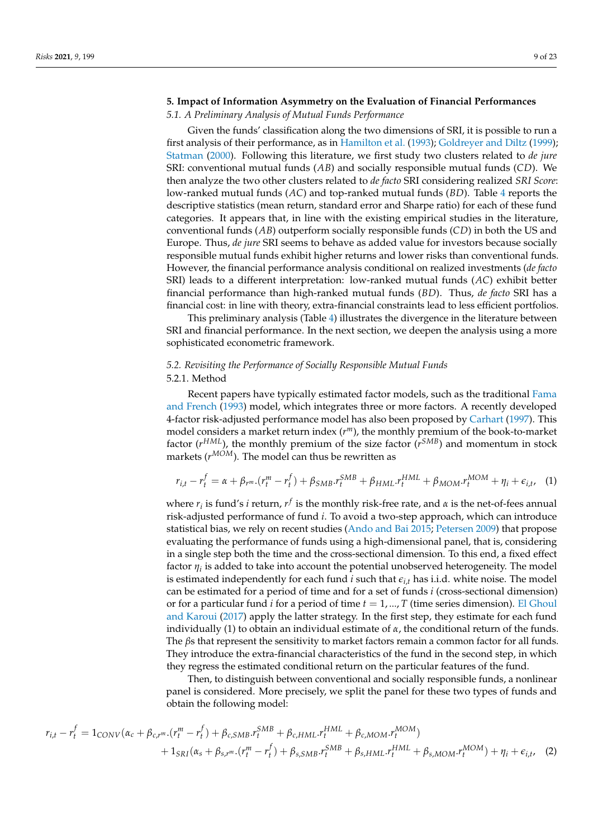# <span id="page-8-0"></span>**5. Impact of Information Asymmetry on the Evaluation of Financial Performances**

## *5.1. A Preliminary Analysis of Mutual Funds Performance*

Given the funds' classification along the two dimensions of SRI, it is possible to run a first analysis of their performance, as in [Hamilton et al.](#page-22-19) [\(1993\)](#page-22-19); [Goldreyer and Diltz](#page-22-20) [\(1999\)](#page-22-20); [Statman](#page-22-21) [\(2000\)](#page-22-21). Following this literature, we first study two clusters related to *de jure* SRI: conventional mutual funds (*AB*) and socially responsible mutual funds (*CD*). We then analyze the two other clusters related to *de facto* SRI considering realized *SRI Score*: low-ranked mutual funds (*AC*) and top-ranked mutual funds (*BD*). Table [4](#page-7-1) reports the descriptive statistics (mean return, standard error and Sharpe ratio) for each of these fund categories. It appears that, in line with the existing empirical studies in the literature, conventional funds (*AB*) outperform socially responsible funds (*CD*) in both the US and Europe. Thus, *de jure* SRI seems to behave as added value for investors because socially responsible mutual funds exhibit higher returns and lower risks than conventional funds. However, the financial performance analysis conditional on realized investments (*de facto* SRI) leads to a different interpretation: low-ranked mutual funds (*AC*) exhibit better financial performance than high-ranked mutual funds (*BD*). Thus, *de facto* SRI has a financial cost: in line with theory, extra-financial constraints lead to less efficient portfolios.

This preliminary analysis (Table [4\)](#page-7-1) illustrates the divergence in the literature between SRI and financial performance. In the next section, we deepen the analysis using a more sophisticated econometric framework.

# *5.2. Revisiting the Performance of Socially Responsible Mutual Funds* 5.2.1. Method

Recent papers have typically estimated factor models, such as the traditional [Fama](#page-22-22) [and French](#page-22-22) [\(1993\)](#page-22-22) model, which integrates three or more factors. A recently developed 4-factor risk-adjusted performance model has also been proposed by [Carhart](#page-21-13) [\(1997\)](#page-21-13). This model considers a market return index (*r <sup>m</sup>*), the monthly premium of the book-to-market factor (*r*<sup>HML</sup>), the monthly premium of the size factor (*r*<sup>SMB</sup>) and momentum in stock markets (*r MOM*). The model can thus be rewritten as

$$
r_{i,t} - r_t^f = \alpha + \beta_{r^m} \cdot (r_t^m - r_t^f) + \beta_{SMB} \cdot r_t^{SMB} + \beta_{HML} \cdot r_t^{HML} + \beta_{MOM} \cdot r_t^{MOM} + \eta_i + \epsilon_{i,t}, \quad (1)
$$

where  $r_i$  is fund's *i* return,  $r^f$  is the monthly risk-free rate, and  $\alpha$  is the net-of-fees annual risk-adjusted performance of fund *i*. To avoid a two-step approach, which can introduce statistical bias, we rely on recent studies [\(Ando and Bai](#page-21-14) [2015;](#page-21-14) [Petersen](#page-22-23) [2009\)](#page-22-23) that propose evaluating the performance of funds using a high-dimensional panel, that is, considering in a single step both the time and the cross-sectional dimension. To this end, a fixed effect factor *η<sup>i</sup>* is added to take into account the potential unobserved heterogeneity. The model is estimated independently for each fund  $i$  such that  $\epsilon_{i,t}$  has i.i.d. white noise. The model can be estimated for a period of time and for a set of funds *i* (cross-sectional dimension) or for a particular fund *i* for a period of time *t* = 1, ..., *T* (time series dimension). [El Ghoul](#page-22-5) [and Karoui](#page-22-5) [\(2017\)](#page-22-5) apply the latter strategy. In the first step, they estimate for each fund individually (1) to obtain an individual estimate of *α*, the conditional return of the funds. The *β*s that represent the sensitivity to market factors remain a common factor for all funds. They introduce the extra-financial characteristics of the fund in the second step, in which they regress the estimated conditional return on the particular features of the fund.

Then, to distinguish between conventional and socially responsible funds, a nonlinear panel is considered. More precisely, we split the panel for these two types of funds and obtain the following model:

$$
r_{i,t} - r_t^f = 1_{CONV}(\alpha_c + \beta_{c,r^m} \cdot (r_t^m - r_t^f) + \beta_{c, SMB} \cdot r_t^{SMB} + \beta_{c, HML} \cdot r_t^{HML} + \beta_{c, MOM} \cdot r_t^{MOM}) + 1_{SRI}(\alpha_s + \beta_{s,r^m} \cdot (r_t^m - r_t^f) + \beta_{s, SMB} \cdot r_t^{SMB} + \beta_{s, HML} \cdot r_t^{HML} + \beta_{s, MOM} \cdot r_t^{MOM}) + \eta_i + \epsilon_{i,t},
$$
(2)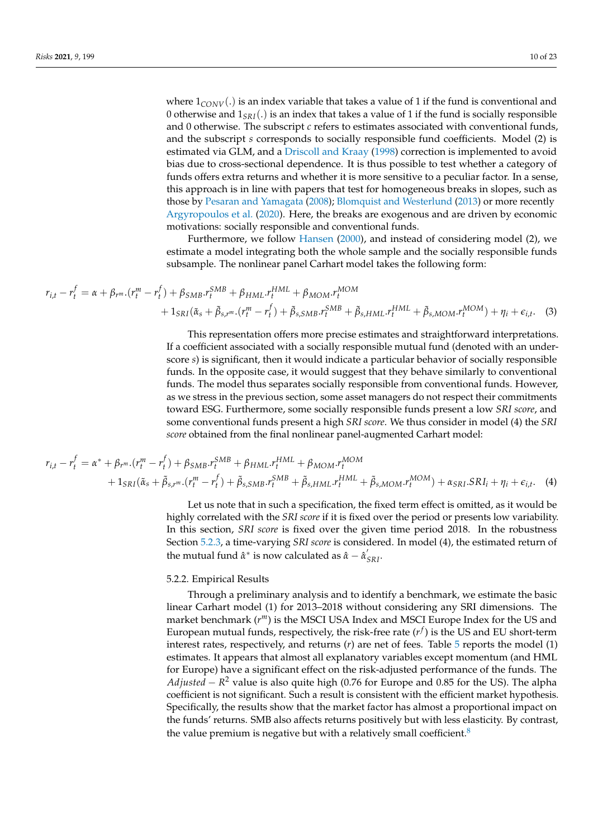where  $1_{CONV}(.)$  is an index variable that takes a value of 1 if the fund is conventional and 0 otherwise and  $1_{SRI}$ . is an index that takes a value of 1 if the fund is socially responsible and 0 otherwise. The subscript *c* refers to estimates associated with conventional funds, and the subscript *s* corresponds to socially responsible fund coefficients. Model (2) is estimated via GLM, and a [Driscoll and Kraay](#page-22-24) [\(1998\)](#page-22-24) correction is implemented to avoid bias due to cross-sectional dependence. It is thus possible to test whether a category of funds offers extra returns and whether it is more sensitive to a peculiar factor. In a sense, this approach is in line with papers that test for homogeneous breaks in slopes, such as those by [Pesaran and Yamagata](#page-22-25) [\(2008\)](#page-22-25); [Blomquist and Westerlund](#page-21-15) [\(2013\)](#page-21-15) or more recently [Argyropoulos et al.](#page-21-16) [\(2020\)](#page-21-16). Here, the breaks are exogenous and are driven by economic motivations: socially responsible and conventional funds.

Furthermore, we follow [Hansen](#page-22-26) [\(2000\)](#page-22-26), and instead of considering model (2), we estimate a model integrating both the whole sample and the socially responsible funds subsample. The nonlinear panel Carhart model takes the following form:

$$
r_{i,t} - r_t^f = \alpha + \beta_{r^m} \cdot (r_t^m - r_t^f) + \beta_{SMB} \cdot r_t^{SMB} + \beta_{HML} \cdot r_t^{HML} + \beta_{MOM} \cdot r_t^{MOM} + 1_{SRI}(\tilde{\alpha}_s + \tilde{\beta}_{s,r^m} \cdot (r_t^m - r_t^f) + \tilde{\beta}_{s,SMB} \cdot r_t^{SMB} + \tilde{\beta}_{s,HML} \cdot r_t^{HML} + \tilde{\beta}_{s,MOM} \cdot r_t^{MOM}) + \eta_i + \epsilon_{i,t}.
$$
 (3)

This representation offers more precise estimates and straightforward interpretations. If a coefficient associated with a socially responsible mutual fund (denoted with an underscore *s*) is significant, then it would indicate a particular behavior of socially responsible funds. In the opposite case, it would suggest that they behave similarly to conventional funds. The model thus separates socially responsible from conventional funds. However, as we stress in the previous section, some asset managers do not respect their commitments toward ESG. Furthermore, some socially responsible funds present a low *SRI score*, and some conventional funds present a high *SRI score*. We thus consider in model (4) the *SRI score* obtained from the final nonlinear panel-augmented Carhart model:

$$
r_{i,t} - r_t^f = \alpha^* + \beta_r m_r (r_t^m - r_t^f) + \beta_{SMB} r_t^{SMB} + \beta_{HML} r_t^{HML} + \beta_{MOM} r_t^{MOM} + 1_{SRI} (\tilde{\alpha}_s + \tilde{\beta}_{s,r^m} \cdot (r_t^m - r_t^f) + \tilde{\beta}_{s,SMB} r_t^{SMB} + \tilde{\beta}_{s,HML} r_t^{HML} + \tilde{\beta}_{s,MOM} r_t^{MOM}) + \alpha_{SRI} SRI_i + \eta_i + \epsilon_{i,t}.
$$
 (4)

Let us note that in such a specification, the fixed term effect is omitted, as it would be highly correlated with the *SRI score* if it is fixed over the period or presents low variability. In this section, *SRI score* is fixed over the given time period 2018. In the robustness Section [5.2.3,](#page-12-0) a time-varying *SRI score* is considered. In model (4), the estimated return of the mutual fund  $\hat{\alpha}^*$  is now calculated as  $\hat{\alpha} - \hat{\alpha}'_{SRI}$ .

# 5.2.2. Empirical Results

<span id="page-9-0"></span>Through a preliminary analysis and to identify a benchmark, we estimate the basic linear Carhart model (1) for 2013–2018 without considering any SRI dimensions. The market benchmark (*r <sup>m</sup>*) is the MSCI USA Index and MSCI Europe Index for the US and European mutual funds, respectively, the risk-free rate  $(r^f)$  is the US and EU short-term interest rates, respectively, and returns (*r*) are net of fees. Table [5](#page-10-0) reports the model (1) estimates. It appears that almost all explanatory variables except momentum (and HML for Europe) have a significant effect on the risk-adjusted performance of the funds. The *Adjusted* − *R* <sup>2</sup> value is also quite high (0.76 for Europe and 0.85 for the US). The alpha coefficient is not significant. Such a result is consistent with the efficient market hypothesis. Specifically, the results show that the market factor has almost a proportional impact on the funds' returns. SMB also affects returns positively but with less elasticity. By contrast, the value premium is negative but with a relatively small coefficient.<sup>[8](#page-21-17)</sup>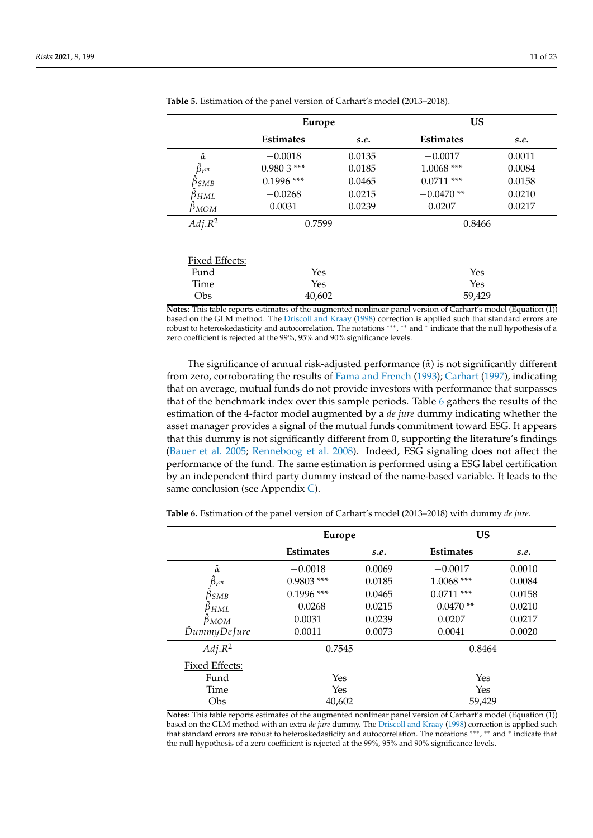|                       | Europe           |        | <b>US</b>        |        |
|-----------------------|------------------|--------|------------------|--------|
|                       | <b>Estimates</b> | s.e.   | <b>Estimates</b> | s.e.   |
| $\hat{\alpha}$        | $-0.0018$        | 0.0135 | $-0.0017$        | 0.0011 |
| $\hat{\beta}_{r^m}$   | $0.9803$ ***     | 0.0185 | $1.0068$ ***     | 0.0084 |
| $\hat{\beta}_{SMB}$   | $0.1996$ ***     | 0.0465 | $0.0711$ ***     | 0.0158 |
| $\beta_{HML}$         | $-0.0268$        | 0.0215 | $-0.0470**$      | 0.0210 |
| $\beta_{MOM}$         | 0.0031           | 0.0239 | 0.0207           | 0.0217 |
| $Adj.R^2$             | 0.7599           |        | 0.8466           |        |
|                       |                  |        |                  |        |
| <b>Fixed Effects:</b> |                  |        |                  |        |
| Fund                  | Yes              |        | Yes              |        |
| Time                  | Yes              |        | Yes              |        |
| Obs                   | 40,602           |        | 59,429           |        |

<span id="page-10-0"></span>**Table 5.** Estimation of the panel version of Carhart's model (2013–2018).

**Notes**: This table reports estimates of the augmented nonlinear panel version of Carhart's model (Equation (1)) based on the GLM method. The [Driscoll and Kraay](#page-22-24) [\(1998\)](#page-22-24) correction is applied such that standard errors are robust to heteroskedasticity and autocorrelation. The notations ∗∗∗ , ∗∗ and <sup>∗</sup> indicate that the null hypothesis of a zero coefficient is rejected at the 99%, 95% and 90% significance levels.

The significance of annual risk-adjusted performance (*α*ˆ) is not significantly different from zero, corroborating the results of [Fama and French](#page-22-22) [\(1993\)](#page-22-22); [Carhart](#page-21-13) [\(1997\)](#page-21-13), indicating that on average, mutual funds do not provide investors with performance that surpasses that of the benchmark index over this sample periods. Table [6](#page-10-1) gathers the results of the estimation of the 4-factor model augmented by a *de jure* dummy indicating whether the asset manager provides a signal of the mutual funds commitment toward ESG. It appears that this dummy is not significantly different from 0, supporting the literature's findings [\(Bauer et al.](#page-21-18) [2005;](#page-21-18) [Renneboog et al.](#page-22-27) [2008\)](#page-22-27). Indeed, ESG signaling does not affect the performance of the fund. The same estimation is performed using a ESG label certification by an independent third party dummy instead of the name-based variable. It leads to the same conclusion (see Appendix [C\)](#page-20-2).

|                     | <b>Europe</b>    |        | <b>US</b>        |        |
|---------------------|------------------|--------|------------------|--------|
|                     | <b>Estimates</b> | s.e.   | <b>Estimates</b> | s.e.   |
| $\hat{\alpha}$      | $-0.0018$        | 0.0069 | $-0.0017$        | 0.0010 |
| $\hat{\beta}_{r^m}$ | $0.9803$ ***     | 0.0185 | 1.0068 ***       | 0.0084 |
| $\beta_{SMB}$       | $0.1996$ ***     | 0.0465 | $0.0711$ ***     | 0.0158 |
| $\beta_{HML}$       | $-0.0268$        | 0.0215 | $-0.0470**$      | 0.0210 |
| $\beta_{MOM}$       | 0.0031           | 0.0239 | 0.0207           | 0.0217 |
| DummyDeJure         | 0.0011           | 0.0073 | 0.0041           | 0.0020 |
| Adj R <sup>2</sup>  | 0.7545           |        | 0.8464           |        |
| Fixed Effects:      |                  |        |                  |        |
| Fund                | Yes              |        | Yes              |        |
| Time                | Yes              |        | Yes              |        |
| Obs                 | 40.602           |        | 59,429           |        |

<span id="page-10-1"></span>**Table 6.** Estimation of the panel version of Carhart's model (2013–2018) with dummy *de jure*.

**Notes**: This table reports estimates of the augmented nonlinear panel version of Carhart's model (Equation (1)) based on the GLM method with an extra *de jure* dummy. The [Driscoll and Kraay](#page-22-24) [\(1998\)](#page-22-24) correction is applied such that standard errors are robust to heteroskedasticity and autocorrelation. The notations \*\*\*, \*\* and \* indicate that the null hypothesis of a zero coefficient is rejected at the 99%, 95% and 90% significance levels.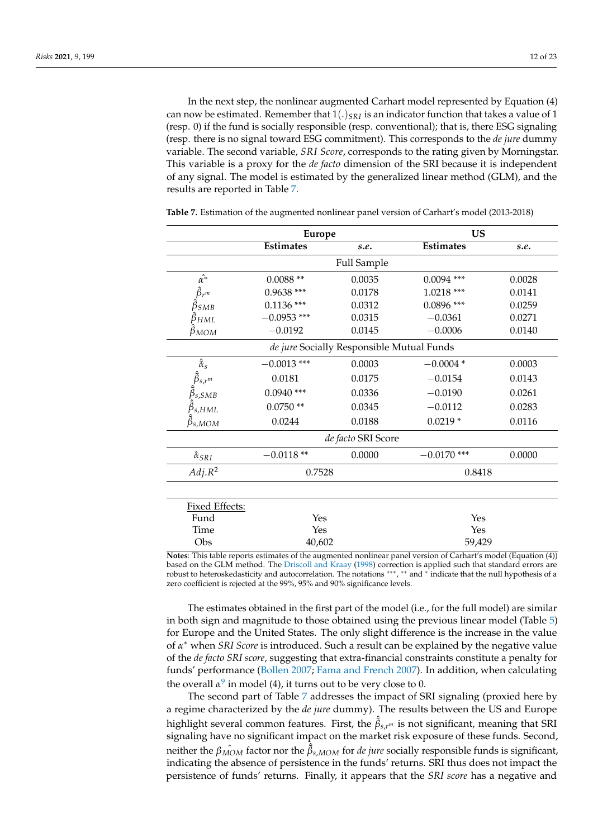In the next step, the nonlinear augmented Carhart model represented by Equation (4) can now be estimated. Remember that  $1(.)_{SRI}$  is an indicator function that takes a value of 1 (resp. 0) if the fund is socially responsible (resp. conventional); that is, there ESG signaling (resp. there is no signal toward ESG commitment). This corresponds to the *de jure* dummy variable. The second variable, *SRI Score*, corresponds to the rating given by Morningstar. This variable is a proxy for the *de facto* dimension of the SRI because it is independent of any signal. The model is estimated by the generalized linear method (GLM), and the results are reported in Table [7.](#page-11-0)

|                                                             | <b>Europe</b>    |                                           | US               |        |
|-------------------------------------------------------------|------------------|-------------------------------------------|------------------|--------|
|                                                             | <b>Estimates</b> | s.e.                                      | <b>Estimates</b> | s.e.   |
|                                                             |                  | <b>Full Sample</b>                        |                  |        |
| $\hat{\alpha^*}$                                            | $0.0088**$       | 0.0035                                    | $0.0094$ ***     | 0.0028 |
| $\hat{\beta}_{r^m}$                                         | $0.9638$ ***     | 0.0178                                    | $1.0218$ ***     | 0.0141 |
| $\hat{\beta}_{SMB}$                                         | $0.1136$ ***     | 0.0312                                    | $0.0896$ ***     | 0.0259 |
| $\ddot{\beta}_{HML}$                                        | $-0.0953$ ***    | 0.0315                                    | $-0.0361$        | 0.0271 |
| $\beta_{MOM}$                                               | $-0.0192$        | 0.0145                                    | $-0.0006$        | 0.0140 |
|                                                             |                  | de jure Socially Responsible Mutual Funds |                  |        |
| $\hat{\tilde{\alpha}}_s$                                    | $-0.0013$ ***    | 0.0003                                    | $-0.0004*$       | 0.0003 |
| $\hat{\tilde{\beta}}_{s,r^m}$ $\hat{\tilde{\beta}}_{s,SMB}$ | 0.0181           | 0.0175                                    | $-0.0154$        | 0.0143 |
|                                                             | $0.0940$ ***     | 0.0336                                    | $-0.0190$        | 0.0261 |
| $\tilde{\beta}_{s, HML}$                                    | $0.0750**$       | 0.0345                                    | $-0.0112$        | 0.0283 |
| $\beta_{s,MOM}$                                             | 0.0244           | 0.0188                                    | $0.0219*$        | 0.0116 |
|                                                             |                  | de facto SRI Score                        |                  |        |
| $\hat{\alpha}_{SRI}$                                        | $-0.0118**$      | 0.0000                                    | $-0.0170$ ***    | 0.0000 |
| Adj R <sup>2</sup>                                          | 0.7528           |                                           | 0.8418           |        |
|                                                             |                  |                                           |                  |        |
| Fixed Effects:                                              |                  |                                           |                  |        |
| Fund                                                        | Yes              |                                           | Yes              |        |
| Time                                                        | Yes              |                                           | Yes              |        |
| Obs                                                         | 40,602           |                                           | 59,429           |        |

<span id="page-11-0"></span>**Table 7.** Estimation of the augmented nonlinear panel version of Carhart's model (2013-2018)

**Notes**: This table reports estimates of the augmented nonlinear panel version of Carhart's model (Equation (4)) based on the GLM method. The [Driscoll and Kraay](#page-22-24) [\(1998\)](#page-22-24) correction is applied such that standard errors are robust to heteroskedasticity and autocorrelation. The notations ∗∗∗ , ∗∗ and <sup>∗</sup> indicate that the null hypothesis of a zero coefficient is rejected at the 99%, 95% and 90% significance levels.

The estimates obtained in the first part of the model (i.e., for the full model) are similar in both sign and magnitude to those obtained using the previous linear model (Table [5\)](#page-10-0) for Europe and the United States. The only slight difference is the increase in the value of *α* <sup>∗</sup> when *SRI Score* is introduced. Such a result can be explained by the negative value of the *de facto SRI score*, suggesting that extra-financial constraints constitute a penalty for funds' performance [\(Bollen](#page-21-19) [2007;](#page-21-19) [Fama and French](#page-22-28) [2007\)](#page-22-28). In addition, when calculating the overall  $\alpha^9$  $\alpha^9$  in model (4), it turns out to be very close to 0.

<span id="page-11-1"></span>The second part of Table [7](#page-11-0) addresses the impact of SRI signaling (proxied here by a regime characterized by the *de jure* dummy). The results between the US and Europe highlight several common features. First, the ˆ *β*˜ *<sup>s</sup>*,*r<sup>m</sup>* is not significant, meaning that SRI signaling have no significant impact on the market risk exposure of these funds. Second, neither the  $\hat{\beta_{MOM}}$  factor nor the  $\hat{\tilde{\beta}}_{s,MOM}$  for *de jure* socially responsible funds is significant, indicating the absence of persistence in the funds' returns. SRI thus does not impact the persistence of funds' returns. Finally, it appears that the *SRI score* has a negative and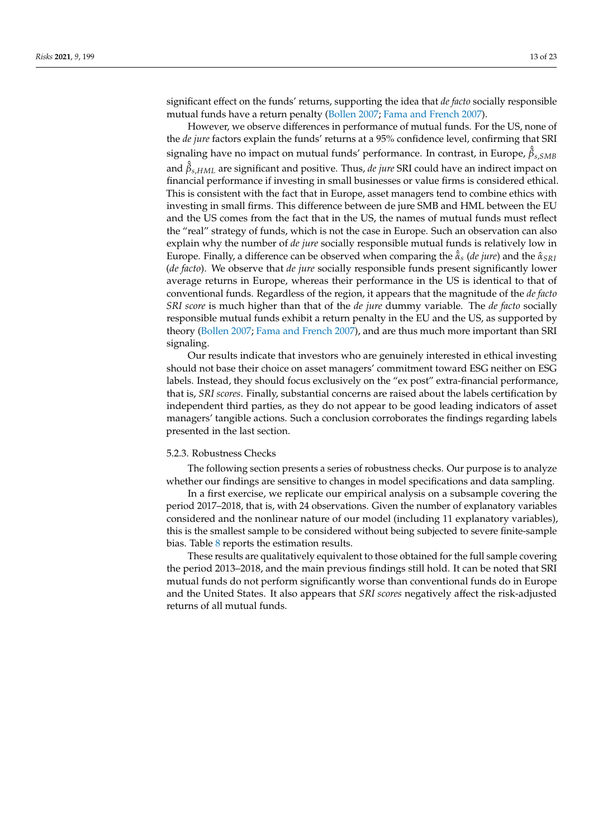significant effect on the funds' returns, supporting the idea that *de facto* socially responsible mutual funds have a return penalty [\(Bollen](#page-21-19) [2007;](#page-21-19) [Fama and French](#page-22-28) [2007\)](#page-22-28).

However, we observe differences in performance of mutual funds. For the US, none of the *de jure* factors explain the funds' returns at a 95% confidence level, confirming that SRI signaling have no impact on mutual funds' performance. In contrast, in Europe, ˆ *β*˜ *s*,*SMB* and ˆ *β*˜ *<sup>s</sup>*,*HML* are significant and positive. Thus, *de jure* SRI could have an indirect impact on financial performance if investing in small businesses or value firms is considered ethical. This is consistent with the fact that in Europe, asset managers tend to combine ethics with investing in small firms. This difference between de jure SMB and HML between the EU and the US comes from the fact that in the US, the names of mutual funds must reflect the "real" strategy of funds, which is not the case in Europe. Such an observation can also explain why the number of *de jure* socially responsible mutual funds is relatively low in Europe. Finally, a difference can be observed when comparing the ˆ*α*˜*<sup>s</sup>* (*de jure*) and the *α*ˆ *SRI* (*de facto*). We observe that *de jure* socially responsible funds present significantly lower average returns in Europe, whereas their performance in the US is identical to that of conventional funds. Regardless of the region, it appears that the magnitude of the *de facto SRI score* is much higher than that of the *de jure* dummy variable. The *de facto* socially responsible mutual funds exhibit a return penalty in the EU and the US, as supported by theory [\(Bollen](#page-21-19) [2007;](#page-21-19) [Fama and French](#page-22-28) [2007\)](#page-22-28), and are thus much more important than SRI signaling.

Our results indicate that investors who are genuinely interested in ethical investing should not base their choice on asset managers' commitment toward ESG neither on ESG labels. Instead, they should focus exclusively on the "ex post" extra-financial performance, that is, *SRI scores*. Finally, substantial concerns are raised about the labels certification by independent third parties, as they do not appear to be good leading indicators of asset managers' tangible actions. Such a conclusion corroborates the findings regarding labels presented in the last section.

# <span id="page-12-0"></span>5.2.3. Robustness Checks

The following section presents a series of robustness checks. Our purpose is to analyze whether our findings are sensitive to changes in model specifications and data sampling.

In a first exercise, we replicate our empirical analysis on a subsample covering the period 2017–2018, that is, with 24 observations. Given the number of explanatory variables considered and the nonlinear nature of our model (including 11 explanatory variables), this is the smallest sample to be considered without being subjected to severe finite-sample bias. Table [8](#page-13-0) reports the estimation results.

These results are qualitatively equivalent to those obtained for the full sample covering the period 2013–2018, and the main previous findings still hold. It can be noted that SRI mutual funds do not perform significantly worse than conventional funds do in Europe and the United States. It also appears that *SRI scores* negatively affect the risk-adjusted returns of all mutual funds.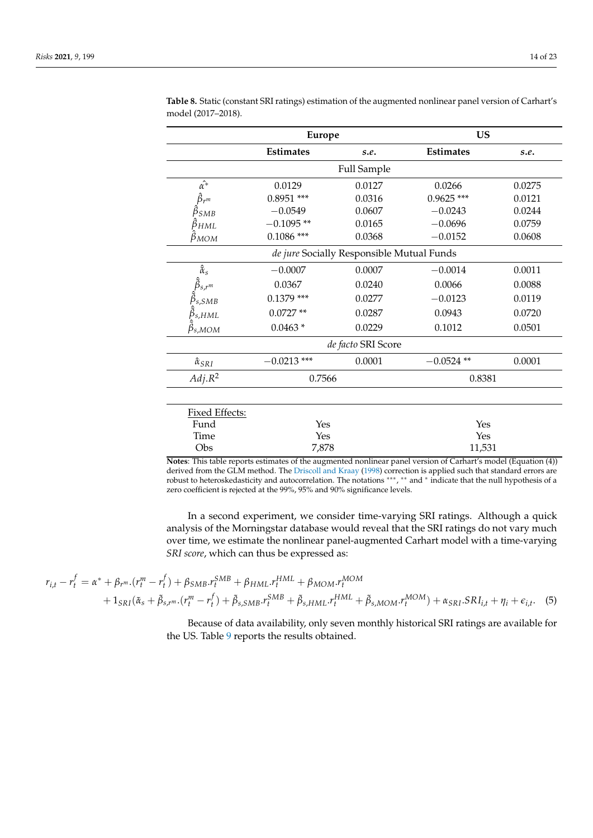|                                                             | <b>Europe</b>                             |                    | <b>US</b>        |        |  |
|-------------------------------------------------------------|-------------------------------------------|--------------------|------------------|--------|--|
|                                                             | <b>Estimates</b>                          | s.e.               | <b>Estimates</b> | s.e.   |  |
|                                                             |                                           | Full Sample        |                  |        |  |
| $\hat{\alpha^*}$                                            | 0.0129                                    | 0.0127             | 0.0266           | 0.0275 |  |
| $\hat{\beta}_{r^m}$                                         | $0.8951$ ***                              | 0.0316             | $0.9625$ ***     | 0.0121 |  |
| $\beta_{SMB}$                                               | $-0.0549$                                 | 0.0607             | $-0.0243$        | 0.0244 |  |
| $\beta_{HML}$                                               | $-0.1095**$                               | 0.0165             | $-0.0696$        | 0.0759 |  |
| $\beta_{MOM}$                                               | $0.1086$ ***                              | 0.0368             | $-0.0152$        | 0.0608 |  |
|                                                             | de jure Socially Responsible Mutual Funds |                    |                  |        |  |
| $\hat{\tilde{\alpha}}_s$                                    | $-0.0007$                                 | 0.0007             | $-0.0014$        | 0.0011 |  |
|                                                             | 0.0367                                    | 0.0240             | 0.0066           | 0.0088 |  |
| $\hat{\tilde{\beta}}_{s,r^m}$ $\hat{\tilde{\beta}}_{s,SMB}$ | $0.1379$ ***                              | 0.0277             | $-0.0123$        | 0.0119 |  |
| $\tilde{\beta}_{s, HML}$                                    | $0.0727**$                                | 0.0287             | 0.0943           | 0.0720 |  |
| $\beta_{s,MOM}$                                             | $0.0463*$                                 | 0.0229             | 0.1012           | 0.0501 |  |
|                                                             |                                           | de facto SRI Score |                  |        |  |
| $\hat{\alpha}_{SRI}$                                        | $-0.0213$ ***                             | 0.0001             | $-0.0524$ **     | 0.0001 |  |
| Adj R <sup>2</sup>                                          | 0.7566                                    |                    | 0.8381           |        |  |
|                                                             |                                           |                    |                  |        |  |
| Fixed Effects:                                              |                                           |                    |                  |        |  |
| Fund                                                        | Yes                                       |                    | Yes              |        |  |
| Time                                                        | Yes                                       |                    | Yes              |        |  |
| Obs                                                         | 7,878                                     |                    | 11,531           |        |  |

<span id="page-13-0"></span>**Table 8.** Static (constant SRI ratings) estimation of the augmented nonlinear panel version of Carhart's model (2017–2018).

**Notes**: This table reports estimates of the augmented nonlinear panel version of Carhart's model (Equation (4)) derived from the GLM method. The [Driscoll and Kraay](#page-22-24) [\(1998\)](#page-22-24) correction is applied such that standard errors are robust to heteroskedasticity and autocorrelation. The notations ∗∗∗ , ∗∗ and <sup>∗</sup> indicate that the null hypothesis of a zero coefficient is rejected at the 99%, 95% and 90% significance levels.

In a second experiment, we consider time-varying SRI ratings. Although a quick analysis of the Morningstar database would reveal that the SRI ratings do not vary much over time, we estimate the nonlinear panel-augmented Carhart model with a time-varying *SRI score*, which can thus be expressed as:

$$
r_{i,t} - r_t^f = \alpha^* + \beta_r m \cdot (r_t^m - r_t^f) + \beta_{SMB} r_t^{SMB} + \beta_{HML} r_t^{HML} + \beta_{MOM} r_t^{MOM} + 1_{SRI} (\tilde{\alpha}_s + \tilde{\beta}_{s,r^m} \cdot (r_t^m - r_t^f) + \tilde{\beta}_{s,SMB} r_t^{SMB} + \tilde{\beta}_{s,HML} r_t^{HML} + \tilde{\beta}_{s,MOM} r_t^{MOM}) + \alpha_{SRI} SRI_{i,t} + \eta_i + \epsilon_{i,t}.
$$
 (5)

Because of data availability, only seven monthly historical SRI ratings are available for the US. Table [9](#page-14-0) reports the results obtained.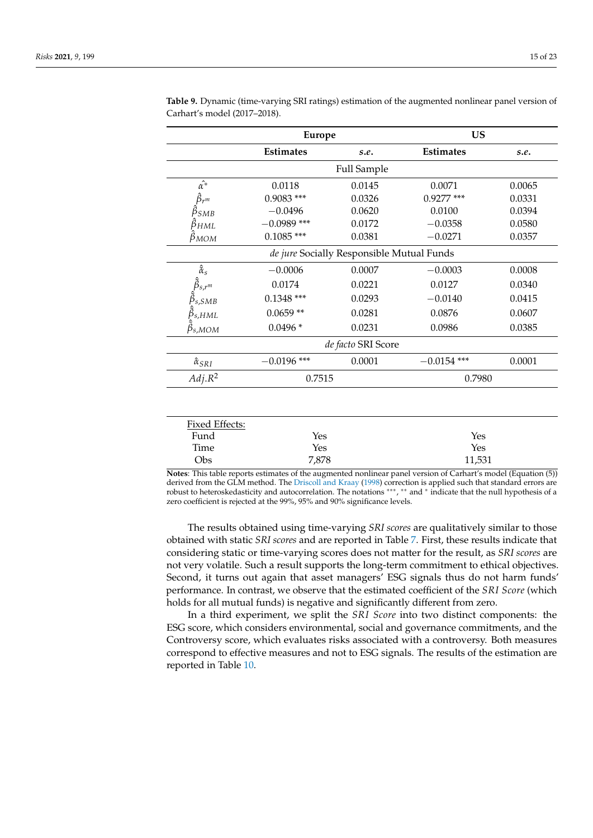|                                                             | <b>Europe</b>    |                                           | <b>US</b>        |        |
|-------------------------------------------------------------|------------------|-------------------------------------------|------------------|--------|
|                                                             | <b>Estimates</b> | s.e.                                      | <b>Estimates</b> | s.e.   |
|                                                             |                  | <b>Full Sample</b>                        |                  |        |
| $\hat{\alpha^*}$                                            | 0.0118           | 0.0145                                    | 0.0071           | 0.0065 |
| $\hat{\beta}_{r^m}$                                         | $0.9083$ ***     | 0.0326                                    | $0.9277$ ***     | 0.0331 |
| $\beta_{SMB}$                                               | $-0.0496$        | 0.0620                                    | 0.0100           | 0.0394 |
| $\beta_{HML}$                                               | $-0.0989$ ***    | 0.0172                                    | $-0.0358$        | 0.0580 |
| $\beta_{MOM}$                                               | $0.1085$ ***     | 0.0381                                    | $-0.0271$        | 0.0357 |
|                                                             |                  | de jure Socially Responsible Mutual Funds |                  |        |
| $\hat{\tilde{\alpha}}_s$                                    | $-0.0006$        | 0.0007                                    | $-0.0003$        | 0.0008 |
|                                                             | 0.0174           | 0.0221                                    | 0.0127           | 0.0340 |
| $\hat{\tilde{\beta}}_{s,r^m}$ $\hat{\tilde{\beta}}_{s,SMB}$ | $0.1348$ ***     | 0.0293                                    | $-0.0140$        | 0.0415 |
| $\hat{\tilde{\beta}}_{s, HML}$                              | $0.0659**$       | 0.0281                                    | 0.0876           | 0.0607 |
| $\beta_{s,MOM}$                                             | $0.0496*$        | 0.0231                                    | 0.0986           | 0.0385 |
|                                                             |                  | de facto SRI Score                        |                  |        |
| $\hat{\alpha}_{SRI}$                                        | $-0.0196$ ***    | 0.0001                                    | $-0.0154$ ***    | 0.0001 |
| $Adj.R^2$                                                   | 0.7515           |                                           | 0.7980           |        |

<span id="page-14-0"></span>**Table 9.** Dynamic (time-varying SRI ratings) estimation of the augmented nonlinear panel version of Carhart's model (2017–2018).

| Fixed Effects: |       |        |  |
|----------------|-------|--------|--|
| Fund           | Yes   | Yes    |  |
| Time           | Yes   | Yes    |  |
| Obs            | 7,878 | 11,531 |  |

**Notes**: This table reports estimates of the augmented nonlinear panel version of Carhart's model (Equation (5)) derived from the GLM method. The [Driscoll and Kraay](#page-22-24) [\(1998\)](#page-22-24) correction is applied such that standard errors are robust to heteroskedasticity and autocorrelation. The notations ∗∗∗ , ∗∗ and <sup>∗</sup> indicate that the null hypothesis of a zero coefficient is rejected at the 99%, 95% and 90% significance levels.

The results obtained using time-varying *SRI scores* are qualitatively similar to those obtained with static *SRI scores* and are reported in Table [7.](#page-11-0) First, these results indicate that considering static or time-varying scores does not matter for the result, as *SRI scores* are not very volatile. Such a result supports the long-term commitment to ethical objectives. Second, it turns out again that asset managers' ESG signals thus do not harm funds' performance. In contrast, we observe that the estimated coefficient of the *SRI Score* (which holds for all mutual funds) is negative and significantly different from zero.

In a third experiment, we split the *SRI Score* into two distinct components: the ESG score, which considers environmental, social and governance commitments, and the Controversy score, which evaluates risks associated with a controversy. Both measures correspond to effective measures and not to ESG signals. The results of the estimation are reported in Table [10.](#page-15-0)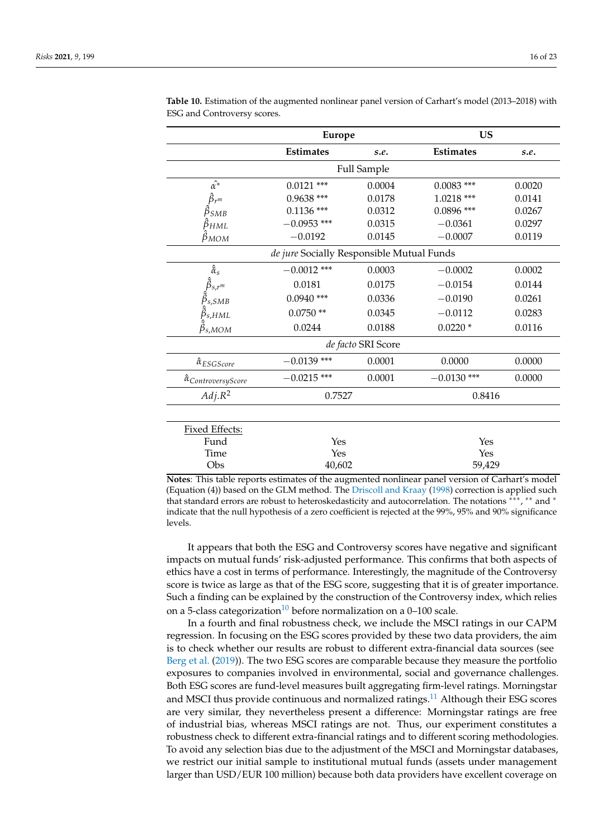|                                                             | <b>Europe</b>    |        | <b>US</b>        |        |
|-------------------------------------------------------------|------------------|--------|------------------|--------|
|                                                             | <b>Estimates</b> | s.e.   | <b>Estimates</b> | s.e.   |
| <b>Full Sample</b>                                          |                  |        |                  |        |
| $\hat{\alpha^*}$                                            | $0.0121$ ***     | 0.0004 | $0.0083$ ***     | 0.0020 |
| $\hat{\beta}_{r^m}$                                         | $0.9638$ ***     | 0.0178 | $1.0218$ ***     | 0.0141 |
| $\beta_{SMB}$                                               | $0.1136$ ***     | 0.0312 | $0.0896$ ***     | 0.0267 |
| $\beta_{HML}$                                               | $-0.0953$ ***    | 0.0315 | $-0.0361$        | 0.0297 |
| $\beta_{MOM}$                                               | $-0.0192$        | 0.0145 | $-0.0007$        | 0.0119 |
| de jure Socially Responsible Mutual Funds                   |                  |        |                  |        |
| $\hat{\tilde{\alpha}}_s$                                    | $-0.0012$ ***    | 0.0003 | $-0.0002$        | 0.0002 |
| $\hat{\tilde{\beta}}_{s,r^m}$ $\hat{\tilde{\beta}}_{s,SMB}$ | 0.0181           | 0.0175 | $-0.0154$        | 0.0144 |
|                                                             | $0.0940$ ***     | 0.0336 | $-0.0190$        | 0.0261 |
| $\hat{\tilde{\beta}}_{s, HML}$                              | $0.0750**$       | 0.0345 | $-0.0112$        | 0.0283 |
| $\beta_{s,MOM}$                                             | 0.0244           | 0.0188 | $0.0220*$        | 0.0116 |
| de facto SRI Score                                          |                  |        |                  |        |
| $\hat{\alpha}_{ESGScore}$                                   | $-0.0139$ ***    | 0.0001 | 0.0000           | 0.0000 |
| $\hat{\alpha}_{ControversyScore}$                           | $-0.0215$ ***    | 0.0001 | $-0.0130$ ***    | 0.0000 |
| $Adj.R^2$                                                   | 0.7527           |        | 0.8416           |        |
|                                                             |                  |        |                  |        |
| Fixed Effects:                                              |                  |        |                  |        |
| Fund                                                        | Yes              |        | Yes              |        |
| Time                                                        | Yes              |        | Yes              |        |

<span id="page-15-0"></span>**Table 10.** Estimation of the augmented nonlinear panel version of Carhart's model (2013–2018) with ESG and Controversy scores.

| Notes: This table reports estimates of the augmented nonlinear panel version of Carhart's model          |
|----------------------------------------------------------------------------------------------------------|
| (Equation (4)) based on the GLM method. The Driscoll and Kraay (1998) correction is applied such         |
| that standard errors are robust to heteroskedasticity and autocorrelation. The notations ***, ** and *   |
| indicate that the null hypothesis of a zero coefficient is rejected at the 99%, 95% and 90% significance |
| levels.                                                                                                  |

Obs 40,602 59,429

It appears that both the ESG and Controversy scores have negative and significant impacts on mutual funds' risk-adjusted performance. This confirms that both aspects of ethics have a cost in terms of performance. Interestingly, the magnitude of the Controversy score is twice as large as that of the ESG score, suggesting that it is of greater importance. Such a finding can be explained by the construction of the Controversy index, which relies on a 5-class categorization<sup>[10](#page-21-21)</sup> before normalization on a 0–100 scale.

<span id="page-15-2"></span><span id="page-15-1"></span>In a fourth and final robustness check, we include the MSCI ratings in our CAPM regression. In focusing on the ESG scores provided by these two data providers, the aim is to check whether our results are robust to different extra-financial data sources (see [Berg et al.](#page-21-5) [\(2019\)](#page-21-5)). The two ESG scores are comparable because they measure the portfolio exposures to companies involved in environmental, social and governance challenges. Both ESG scores are fund-level measures built aggregating firm-level ratings. Morningstar and MSCI thus provide continuous and normalized ratings.<sup>[11](#page-21-22)</sup> Although their ESG scores are very similar, they nevertheless present a difference: Morningstar ratings are free of industrial bias, whereas MSCI ratings are not. Thus, our experiment constitutes a robustness check to different extra-financial ratings and to different scoring methodologies. To avoid any selection bias due to the adjustment of the MSCI and Morningstar databases, we restrict our initial sample to institutional mutual funds (assets under management larger than USD/EUR 100 million) because both data providers have excellent coverage on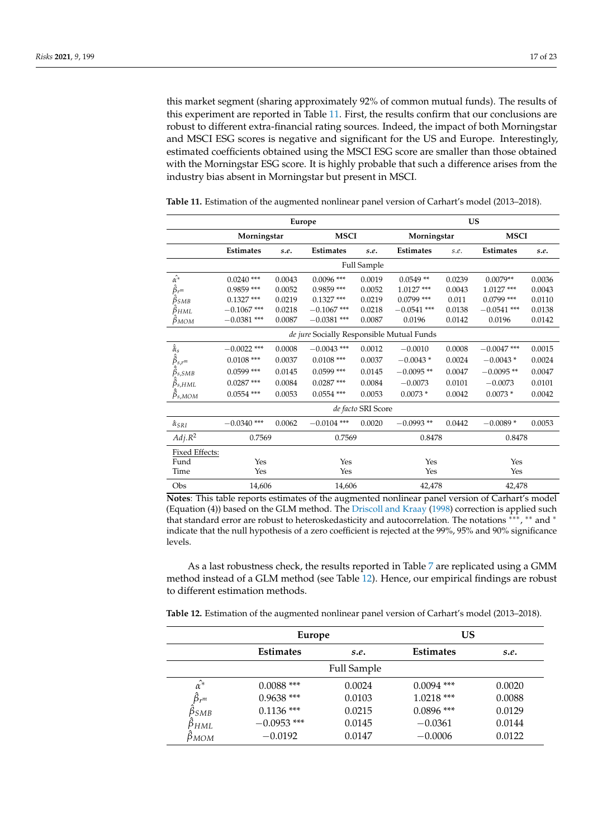this market segment (sharing approximately 92% of common mutual funds). The results of this experiment are reported in Table [11.](#page-16-0) First, the results confirm that our conclusions are robust to different extra-financial rating sources. Indeed, the impact of both Morningstar and MSCI ESG scores is negative and significant for the US and Europe. Interestingly, estimated coefficients obtained using the MSCI ESG score are smaller than those obtained with the Morningstar ESG score. It is highly probable that such a difference arises from the industry bias absent in Morningstar but present in MSCI.

|                               | Europe                     |        |                                           |             | <b>US</b>        |             |                  |        |
|-------------------------------|----------------------------|--------|-------------------------------------------|-------------|------------------|-------------|------------------|--------|
|                               | Morningstar<br><b>MSCI</b> |        |                                           | Morningstar |                  | <b>MSCI</b> |                  |        |
|                               | <b>Estimates</b>           | s.e.   | <b>Estimates</b>                          | s.e.        | <b>Estimates</b> | s.e.        | <b>Estimates</b> | s.e.   |
|                               |                            |        |                                           | Full Sample |                  |             |                  |        |
| $\hat{\alpha^*}$              | $0.0240$ ***               | 0.0043 | $0.0096$ ***                              | 0.0019      | $0.0549**$       | 0.0239      | $0.0079**$       | 0.0036 |
| $\hat{\beta}_{r^m}$           | $0.9859$ ***               | 0.0052 | $0.9859$ ***                              | 0.0052      | $1.0127$ ***     | 0.0043      | $1.0127***$      | 0.0043 |
| $\ddot{\beta}_{SMB}$          | $0.1327$ ***               | 0.0219 | $0.1327$ ***                              | 0.0219      | $0.0799$ ***     | 0.011       | $0.0799$ ***     | 0.0110 |
| $\hat{\beta}_{HML}$           | $-0.1067$ ***              | 0.0218 | $-0.1067$ ***                             | 0.0218      | $-0.0541$ ***    | 0.0138      | $-0.0541$ ***    | 0.0138 |
| $\hat{\beta}_{MOM}$           | $-0.0381$ ***              | 0.0087 | $-0.0381$ ***                             | 0.0087      | 0.0196           | 0.0142      | 0.0196           | 0.0142 |
|                               |                            |        | de jure Socially Responsible Mutual Funds |             |                  |             |                  |        |
| $\hat{\tilde{\alpha}}_s$      | $-0.0022$ ***              | 0.0008 | $-0.0043$ ***                             | 0.0012      | $-0.0010$        | 0.0008      | $-0.0047$ ***    | 0.0015 |
| $\tilde{\hat{\beta}}_{s,r^m}$ | $0.0108$ ***               | 0.0037 | $0.0108$ ***                              | 0.0037      | $-0.0043*$       | 0.0024      | $-0.0043*$       | 0.0024 |
| $\beta_{s,SMB}$               | $0.0599$ ***               | 0.0145 | $0.0599$ ***                              | 0.0145      | $-0.0095**$      | 0.0047      | $-0.0095**$      | 0.0047 |
| $\beta_{s, HML}$              | $0.0287$ ***               | 0.0084 | $0.0287$ ***                              | 0.0084      | $-0.0073$        | 0.0101      | $-0.0073$        | 0.0101 |
| $\beta_{s,MOM}$               | $0.0554$ ***               | 0.0053 | $0.0554$ ***                              | 0.0053      | $0.0073*$        | 0.0042      | $0.0073*$        | 0.0042 |
| de facto SRI Score            |                            |        |                                           |             |                  |             |                  |        |
| $\hat{\alpha}_{SRI}$          | $-0.0340$ ***              | 0.0062 | $-0.0104$ ***                             | 0.0020      | $-0.0993**$      | 0.0442      | $-0.0089*$       | 0.0053 |
| Adj R <sup>2</sup>            | 0.7569                     |        | 0.7569                                    |             | 0.8478           |             | 0.8478           |        |
| Fixed Effects:                |                            |        |                                           |             |                  |             |                  |        |
| Fund                          | Yes                        |        | Yes                                       |             | Yes              |             | Yes              |        |
| Time                          | Yes                        |        | Yes                                       |             | Yes              |             | Yes              |        |
| Obs                           | 14,606                     |        | 14,606                                    |             | 42,478           |             | 42,478           |        |

<span id="page-16-0"></span>**Table 11.** Estimation of the augmented nonlinear panel version of Carhart's model (2013–2018).

**Notes**: This table reports estimates of the augmented nonlinear panel version of Carhart's model (Equation (4)) based on the GLM method. The [Driscoll and Kraay](#page-22-24) [\(1998\)](#page-22-24) correction is applied such that standard error are robust to heteroskedasticity and autocorrelation. The notations \*\*\*, \*\* and \* indicate that the null hypothesis of a zero coefficient is rejected at the 99%, 95% and 90% significance levels.

As a last robustness check, the results reported in Table [7](#page-11-0) are replicated using a GMM method instead of a GLM method (see Table [12\)](#page-16-1). Hence, our empirical findings are robust to different estimation methods.

<span id="page-16-1"></span>**Table 12.** Estimation of the augmented nonlinear panel version of Carhart's model (2013–2018).

|                     | Europe           |                    | US               |        |  |
|---------------------|------------------|--------------------|------------------|--------|--|
|                     | <b>Estimates</b> | s.e.               | <b>Estimates</b> | s.e.   |  |
|                     |                  | <b>Full Sample</b> |                  |        |  |
| $\hat{\alpha^*}$    | $0.0088$ ***     | 0.0024             | $0.0094$ ***     | 0.0020 |  |
| $\hat{\beta}_{r^m}$ | $0.9638$ ***     | 0.0103             | $1.0218$ ***     | 0.0088 |  |
| ÞsMB                | $0.1136$ ***     | 0.0215             | $0.0896$ ***     | 0.0129 |  |
| pнмl                | $-0.0953$ ***    | 0.0145             | $-0.0361$        | 0.0144 |  |
| Рмом                | $-0.0192$        | 0.0147             | $-0.0006$        | 0.0122 |  |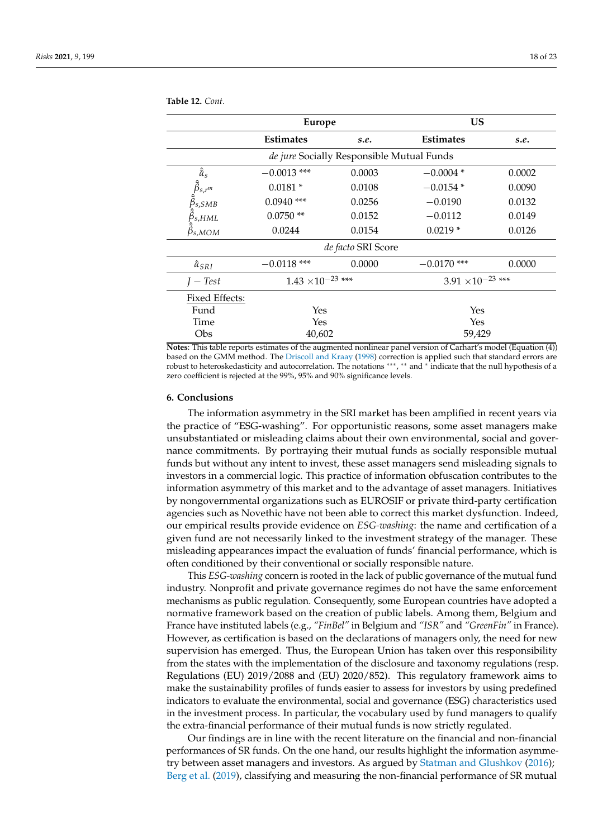|                                                                                                                         | <b>Europe</b>              |        | US                         |        |  |
|-------------------------------------------------------------------------------------------------------------------------|----------------------------|--------|----------------------------|--------|--|
|                                                                                                                         | <b>Estimates</b>           | s.e.   | <b>Estimates</b>           | s.e.   |  |
| de jure Socially Responsible Mutual Funds                                                                               |                            |        |                            |        |  |
| $\hat{\tilde{\alpha}}_s$                                                                                                | $-0.0013$ ***              | 0.0003 | $-0.0004*$                 | 0.0002 |  |
|                                                                                                                         | $0.0181*$                  | 0.0108 | $-0.0154*$                 | 0.0090 |  |
|                                                                                                                         | $0.0940$ ***               | 0.0256 | $-0.0190$                  | 0.0132 |  |
|                                                                                                                         | $0.0750**$                 | 0.0152 | $-0.0112$                  | 0.0149 |  |
| $\hat{\tilde{\beta}}_{s,r^m} \ \hat{\tilde{\beta}}_{s,SMB} \ \hat{\tilde{\beta}}_{s,HML} \ \hat{\tilde{\beta}}_{s,MOM}$ | 0.0244                     | 0.0154 | $0.0219*$                  | 0.0126 |  |
| de facto SRI Score                                                                                                      |                            |        |                            |        |  |
| $\hat{\alpha}_{SRI}$                                                                                                    | $-0.0118$ ***              | 0.0000 | $-0.0170$ ***              | 0.0000 |  |
| $I-Test$                                                                                                                | $1.43 \times 10^{-23}$ *** |        | $3.91 \times 10^{-23}$ *** |        |  |
| Fixed Effects:                                                                                                          |                            |        |                            |        |  |
| Fund                                                                                                                    | Yes                        |        | Yes                        |        |  |
| Time                                                                                                                    | Yes                        |        | Yes                        |        |  |
| Obs                                                                                                                     | 40,602                     |        | 59,429                     |        |  |

**Table 12.** *Cont.*

**Notes**: This table reports estimates of the augmented nonlinear panel version of Carhart's model (Equation (4)) based on the GMM method. The [Driscoll and Kraay](#page-22-24) [\(1998\)](#page-22-24) correction is applied such that standard errors are robust to heteroskedasticity and autocorrelation. The notations ∗∗∗ , ∗∗ and <sup>∗</sup> indicate that the null hypothesis of a zero coefficient is rejected at the 99%, 95% and 90% significance levels.

#### <span id="page-17-0"></span>**6. Conclusions**

The information asymmetry in the SRI market has been amplified in recent years via the practice of "ESG-washing". For opportunistic reasons, some asset managers make unsubstantiated or misleading claims about their own environmental, social and governance commitments. By portraying their mutual funds as socially responsible mutual funds but without any intent to invest, these asset managers send misleading signals to investors in a commercial logic. This practice of information obfuscation contributes to the information asymmetry of this market and to the advantage of asset managers. Initiatives by nongovernmental organizations such as EUROSIF or private third-party certification agencies such as Novethic have not been able to correct this market dysfunction. Indeed, our empirical results provide evidence on *ESG-washing*: the name and certification of a given fund are not necessarily linked to the investment strategy of the manager. These misleading appearances impact the evaluation of funds' financial performance, which is often conditioned by their conventional or socially responsible nature.

This *ESG-washing* concern is rooted in the lack of public governance of the mutual fund industry. Nonprofit and private governance regimes do not have the same enforcement mechanisms as public regulation. Consequently, some European countries have adopted a normative framework based on the creation of public labels. Among them, Belgium and France have instituted labels (e.g., *"FinBel"* in Belgium and *"ISR"* and *"GreenFin"* in France). However, as certification is based on the declarations of managers only, the need for new supervision has emerged. Thus, the European Union has taken over this responsibility from the states with the implementation of the disclosure and taxonomy regulations (resp. Regulations (EU) 2019/2088 and (EU) 2020/852). This regulatory framework aims to make the sustainability profiles of funds easier to assess for investors by using predefined indicators to evaluate the environmental, social and governance (ESG) characteristics used in the investment process. In particular, the vocabulary used by fund managers to qualify the extra-financial performance of their mutual funds is now strictly regulated.

Our findings are in line with the recent literature on the financial and non-financial performances of SR funds. On the one hand, our results highlight the information asymmetry between asset managers and investors. As argued by [Statman and Glushkov](#page-22-4) [\(2016\)](#page-22-4); [Berg et al.](#page-21-5) [\(2019\)](#page-21-5), classifying and measuring the non-financial performance of SR mutual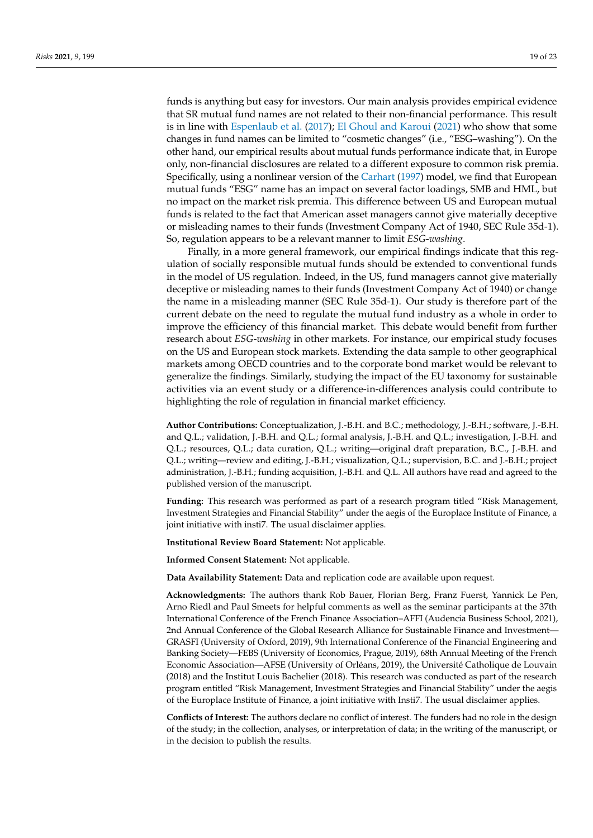funds is anything but easy for investors. Our main analysis provides empirical evidence that SR mutual fund names are not related to their non-financial performance. This result is in line with [Espenlaub et al.](#page-22-12) [\(2017\)](#page-22-12); [El Ghoul and Karoui](#page-22-2) [\(2021\)](#page-22-2) who show that some changes in fund names can be limited to "cosmetic changes" (i.e., "ESG–washing"). On the other hand, our empirical results about mutual funds performance indicate that, in Europe only, non-financial disclosures are related to a different exposure to common risk premia. Specifically, using a nonlinear version of the [Carhart](#page-21-13) [\(1997\)](#page-21-13) model, we find that European mutual funds "ESG" name has an impact on several factor loadings, SMB and HML, but no impact on the market risk premia. This difference between US and European mutual funds is related to the fact that American asset managers cannot give materially deceptive or misleading names to their funds (Investment Company Act of 1940, SEC Rule 35d-1). So, regulation appears to be a relevant manner to limit *ESG-washing*.

Finally, in a more general framework, our empirical findings indicate that this regulation of socially responsible mutual funds should be extended to conventional funds in the model of US regulation. Indeed, in the US, fund managers cannot give materially deceptive or misleading names to their funds (Investment Company Act of 1940) or change the name in a misleading manner (SEC Rule 35d-1). Our study is therefore part of the current debate on the need to regulate the mutual fund industry as a whole in order to improve the efficiency of this financial market. This debate would benefit from further research about *ESG-washing* in other markets. For instance, our empirical study focuses on the US and European stock markets. Extending the data sample to other geographical markets among OECD countries and to the corporate bond market would be relevant to generalize the findings. Similarly, studying the impact of the EU taxonomy for sustainable activities via an event study or a difference-in-differences analysis could contribute to highlighting the role of regulation in financial market efficiency.

**Author Contributions:** Conceptualization, J.-B.H. and B.C.; methodology, J.-B.H.; software, J.-B.H. and Q.L.; validation, J.-B.H. and Q.L.; formal analysis, J.-B.H. and Q.L.; investigation, J.-B.H. and Q.L.; resources, Q.L.; data curation, Q.L.; writing—original draft preparation, B.C., J.-B.H. and Q.L.; writing—review and editing, J.-B.H.; visualization, Q.L.; supervision, B.C. and J.-B.H.; project administration, J.-B.H.; funding acquisition, J.-B.H. and Q.L. All authors have read and agreed to the published version of the manuscript.

**Funding:** This research was performed as part of a research program titled "Risk Management, Investment Strategies and Financial Stability" under the aegis of the Europlace Institute of Finance, a joint initiative with insti7. The usual disclaimer applies.

**Institutional Review Board Statement:** Not applicable.

**Informed Consent Statement:** Not applicable.

**Data Availability Statement:** Data and replication code are available upon request.

**Acknowledgments:** The authors thank Rob Bauer, Florian Berg, Franz Fuerst, Yannick Le Pen, Arno Riedl and Paul Smeets for helpful comments as well as the seminar participants at the 37th International Conference of the French Finance Association–AFFI (Audencia Business School, 2021), 2nd Annual Conference of the Global Research Alliance for Sustainable Finance and Investment— GRASFI (University of Oxford, 2019), 9th International Conference of the Financial Engineering and Banking Society—FEBS (University of Economics, Prague, 2019), 68th Annual Meeting of the French Economic Association—AFSE (University of Orléans, 2019), the Université Catholique de Louvain (2018) and the Institut Louis Bachelier (2018). This research was conducted as part of the research program entitled "Risk Management, Investment Strategies and Financial Stability" under the aegis of the Europlace Institute of Finance, a joint initiative with Insti7. The usual disclaimer applies.

**Conflicts of Interest:** The authors declare no conflict of interest. The funders had no role in the design of the study; in the collection, analyses, or interpretation of data; in the writing of the manuscript, or in the decision to publish the results.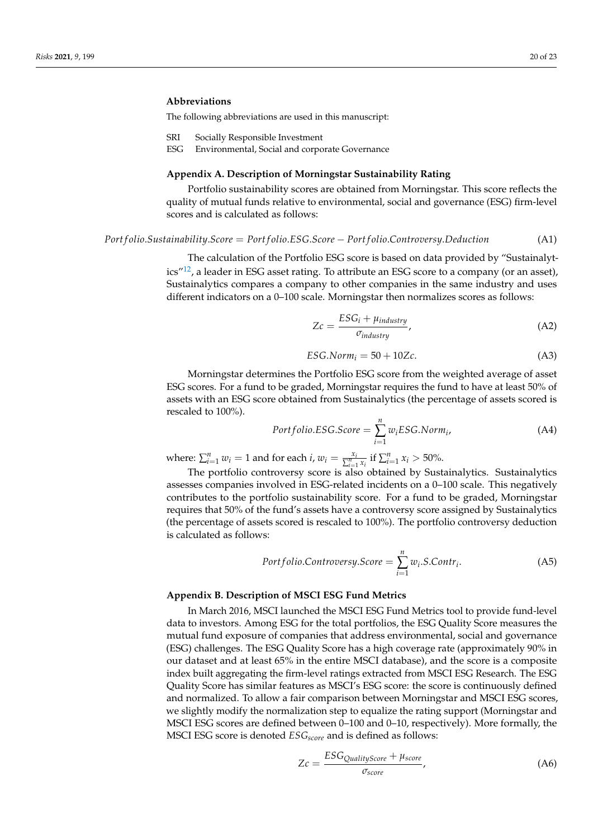## **Abbreviations**

The following abbreviations are used in this manuscript:

- SRI Socially Responsible Investment
- ESG Environmental, Social and corporate Governance

# <span id="page-19-0"></span>**Appendix A. Description of Morningstar Sustainability Rating**

Portfolio sustainability scores are obtained from Morningstar. This score reflects the quality of mutual funds relative to environmental, social and governance (ESG) firm-level scores and is calculated as follows:

## *Port f olio*.*Sustainability*.*Score* = *Port f olio*.*ESG*.*Score* − *Port f olio*.*Controversy*.*Deduction* (A1)

<span id="page-19-2"></span>The calculation of the Portfolio ESG score is based on data provided by "Sustainalyt-ics"<sup>[12](#page-21-23)</sup>, a leader in ESG asset rating. To attribute an ESG score to a company (or an asset), Sustainalytics compares a company to other companies in the same industry and uses different indicators on a 0–100 scale. Morningstar then normalizes scores as follows:

$$
Zc = \frac{ESG_i + \mu_{industry}}{\sigma_{industry}},
$$
\n(A2)

$$
ESG.Norm_i = 50 + 10Zc.
$$
 (A3)

Morningstar determines the Portfolio ESG score from the weighted average of asset ESG scores. For a fund to be graded, Morningstar requires the fund to have at least 50% of assets with an ESG score obtained from Sustainalytics (the percentage of assets scored is rescaled to 100%).

$$
Portfolio. ESG. Score = \sum_{i=1}^{n} w_i ESG. Norm_i,
$$
\n(A4)

where:  $\sum_{i=1}^{n} w_i = 1$  and for each *i*,  $w_i = \frac{x_i}{\sum_{i=1}^{n} x_i}$  if  $\sum_{i=1}^{n} x_i > 50\%$ .

The portfolio controversy score is also obtained by Sustainalytics. Sustainalytics assesses companies involved in ESG-related incidents on a 0–100 scale. This negatively contributes to the portfolio sustainability score. For a fund to be graded, Morningstar requires that 50% of the fund's assets have a controversy score assigned by Sustainalytics (the percentage of assets scored is rescaled to 100%). The portfolio controversy deduction is calculated as follows:

$$
Portfolio. Controversy. Score = \sum_{i=1}^{n} w_i.S. Contr_i.
$$
 (A5)

## <span id="page-19-1"></span>**Appendix B. Description of MSCI ESG Fund Metrics**

In March 2016, MSCI launched the MSCI ESG Fund Metrics tool to provide fund-level data to investors. Among ESG for the total portfolios, the ESG Quality Score measures the mutual fund exposure of companies that address environmental, social and governance (ESG) challenges. The ESG Quality Score has a high coverage rate (approximately 90% in our dataset and at least 65% in the entire MSCI database), and the score is a composite index built aggregating the firm-level ratings extracted from MSCI ESG Research. The ESG Quality Score has similar features as MSCI's ESG score: the score is continuously defined and normalized. To allow a fair comparison between Morningstar and MSCI ESG scores, we slightly modify the normalization step to equalize the rating support (Morningstar and MSCI ESG scores are defined between 0–100 and 0–10, respectively). More formally, the MSCI ESG score is denoted *ESGscore* and is defined as follows:

$$
Zc = \frac{ESG_{QualityScore} + \mu_{score}}{\sigma_{score}},
$$
 (A6)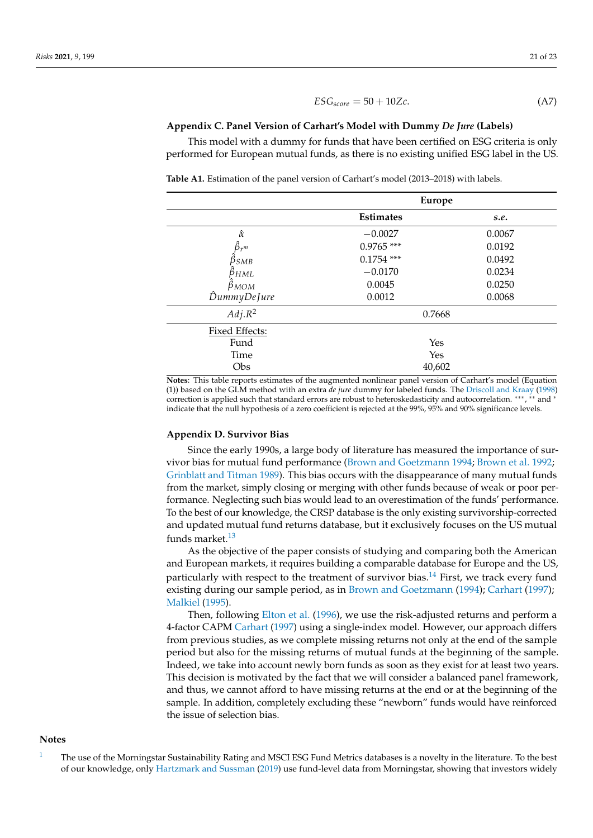$$
ESG_{score} = 50 + 10Zc.
$$
 (A7)

#### <span id="page-20-2"></span>**Appendix C. Panel Version of Carhart's Model with Dummy** *De Jure* **(Labels)**

This model with a dummy for funds that have been certified on ESG criteria is only performed for European mutual funds, as there is no existing unified ESG label in the US.

**Table A1.** Estimation of the panel version of Carhart's model (2013–2018) with labels.

|                     | <b>Europe</b>    |        |  |
|---------------------|------------------|--------|--|
|                     | <b>Estimates</b> | s.e.   |  |
| $\hat{\alpha}$      | $-0.0027$        | 0.0067 |  |
| $\hat{\beta}_{r^m}$ | $0.9765$ ***     | 0.0192 |  |
| $\beta_{SMB}$       | $0.1754$ ***     | 0.0492 |  |
| $\beta_{HML}$       | $-0.0170$        | 0.0234 |  |
| $\hat{\beta}_{MOM}$ | 0.0045           | 0.0250 |  |
| DummyDeJure         | 0.0012           | 0.0068 |  |
| $Adj.R^2$           | 0.7668           |        |  |
| Fixed Effects:      |                  |        |  |
| Fund                | Yes              |        |  |
| Time                | Yes              |        |  |
| Obs                 | 40,602           |        |  |

**Notes**: This table reports estimates of the augmented nonlinear panel version of Carhart's model (Equation (1)) based on the GLM method with an extra *de jure* dummy for labeled funds. The [Driscoll and Kraay](#page-22-24) [\(1998\)](#page-22-24) correction is applied such that standard errors are robust to heteroskedasticity and autocorrelation. \*\*\*, \*\* and \* indicate that the null hypothesis of a zero coefficient is rejected at the 99%, 95% and 90% significance levels.

#### <span id="page-20-1"></span>**Appendix D. Survivor Bias**

Since the early 1990s, a large body of literature has measured the importance of survivor bias for mutual fund performance [\(Brown and Goetzmann](#page-21-24) [1994;](#page-21-24) [Brown et al.](#page-21-25) [1992;](#page-21-25) [Grinblatt and Titman](#page-22-29) [1989\)](#page-22-29). This bias occurs with the disappearance of many mutual funds from the market, simply closing or merging with other funds because of weak or poor performance. Neglecting such bias would lead to an overestimation of the funds' performance. To the best of our knowledge, the CRSP database is the only existing survivorship-corrected and updated mutual fund returns database, but it exclusively focuses on the US mutual funds market. $13$ 

<span id="page-20-4"></span><span id="page-20-3"></span>As the objective of the paper consists of studying and comparing both the American and European markets, it requires building a comparable database for Europe and the US, particularly with respect to the treatment of survivor bias.<sup>[14](#page-21-27)</sup> First, we track every fund existing during our sample period, as in [Brown and Goetzmann](#page-21-24) [\(1994\)](#page-21-24); [Carhart](#page-21-13) [\(1997\)](#page-21-13); [Malkiel](#page-22-30) [\(1995\)](#page-22-30).

Then, following [Elton et al.](#page-22-31) [\(1996\)](#page-22-31), we use the risk-adjusted returns and perform a 4-factor CAPM [Carhart](#page-21-13) [\(1997\)](#page-21-13) using a single-index model. However, our approach differs from previous studies, as we complete missing returns not only at the end of the sample period but also for the missing returns of mutual funds at the beginning of the sample. Indeed, we take into account newly born funds as soon as they exist for at least two years. This decision is motivated by the fact that we will consider a balanced panel framework, and thus, we cannot afford to have missing returns at the end or at the beginning of the sample. In addition, completely excluding these "newborn" funds would have reinforced the issue of selection bias.

## **Notes**

<span id="page-20-0"></span>[1](#page-3-0) The use of the Morningstar Sustainability Rating and MSCI ESG Fund Metrics databases is a novelty in the literature. To the best of our knowledge, only [Hartzmark and Sussman](#page-22-15) [\(2019\)](#page-22-15) use fund-level data from Morningstar, showing that investors widely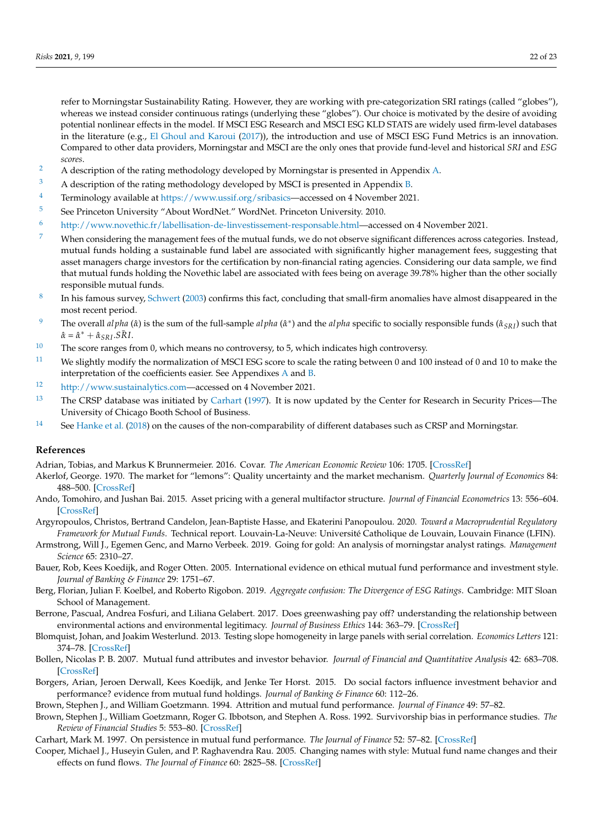refer to Morningstar Sustainability Rating. However, they are working with pre-categorization SRI ratings (called "globes"), whereas we instead consider continuous ratings (underlying these "globes"). Our choice is motivated by the desire of avoiding potential nonlinear effects in the model. If MSCI ESG Research and MSCI ESG KLD STATS are widely used firm-level databases in the literature (e.g., [El Ghoul and Karoui](#page-22-5) [\(2017\)](#page-22-5)), the introduction and use of MSCI ESG Fund Metrics is an innovation. Compared to other data providers, Morningstar and MSCI are the only ones that provide fund-level and historical *SRI* and *ESG scores*.

- <span id="page-21-6"></span><sup>[2](#page-3-1)</sup> A description of the rating methodology developed by Morningstar is presented in Appendix [A.](#page-19-0)
- <span id="page-21-7"></span> $3$  A description of the rating methodology developed by MSCI is presented in Appendix [B.](#page-19-1)
- <span id="page-21-8"></span><sup>[4](#page-3-3)</sup> Terminology available at [https://www.ussif.org/sribasics—](https://www.ussif.org/sribasics)accessed on 4 November 2021.
- <span id="page-21-9"></span>[5](#page-3-4) See Princeton University "About WordNet." WordNet. Princeton University. 2010.
- <span id="page-21-10"></span>[6](#page-5-1) [http://www.novethic.fr/labellisation-de-linvestissement-responsable.html—](http://www.novethic.fr/labellisation-de-linvestissement-responsable.html)accessed on 4 November 2021.
- <span id="page-21-12"></span> $7$  When considering the management fees of the mutual funds, we do not observe significant differences across categories. Instead, mutual funds holding a sustainable fund label are associated with significantly higher management fees, suggesting that asset managers charge investors for the certification by non-financial rating agencies. Considering our data sample, we find that mutual funds holding the Novethic label are associated with fees being on average 39.78% higher than the other socially responsible mutual funds.
- <span id="page-21-17"></span>[8](#page-9-0) In his famous survey, [Schwert](#page-22-32) [\(2003\)](#page-22-32) confirms this fact, concluding that small-firm anomalies have almost disappeared in the most recent period.
- <span id="page-21-20"></span><sup>[9](#page-11-1)</sup> The overall *al pha* ( $\hat{\alpha}$ ) is the sum of the full-sample *al pha* ( $\hat{\alpha}^*$ ) and the *al pha* specific to socially responsible funds ( $\hat{\alpha}_{SRI}$ ) such that  $\hat{\alpha} = \hat{\alpha}^* + \hat{\alpha}_{SRI} . S\bar{R}I.$
- <span id="page-21-21"></span><sup>[10](#page-15-1)</sup> The score ranges from 0, which means no controversy, to 5, which indicates high controversy.
- <span id="page-21-22"></span><sup>[11](#page-15-2)</sup> We slightly modify the normalization of MSCI ESG score to scale the rating between 0 and 100 instead of 0 and 10 to make the interpretation of the coefficients easier. See Appendixes [A](#page-19-0) and [B.](#page-19-1)
- <span id="page-21-23"></span>[12](#page-19-2) [http://www.sustainalytics.com—](http://www.sustainalytics.com)accessed on 4 November 2021.
- <span id="page-21-26"></span><sup>[13](#page-20-3)</sup> The CRSP database was initiated by [Carhart](#page-21-13) [\(1997\)](#page-21-13). It is now updated by the Center for Research in Security Prices—The University of Chicago Booth School of Business.
- <span id="page-21-27"></span><sup>[14](#page-20-4)</sup> See [Hanke et al.](#page-22-33) [\(2018\)](#page-22-33) on the causes of the non-comparability of different databases such as CRSP and Morningstar.

# **References**

<span id="page-21-11"></span>Adrian, Tobias, and Markus K Brunnermeier. 2016. Covar. *The American Economic Review* 106: 1705. [\[CrossRef\]](http://doi.org/10.1257/aer.20120555)

- <span id="page-21-2"></span>Akerlof, George. 1970. The market for "lemons": Quality uncertainty and the market mechanism. *Quarterly Journal of Economics* 84: 488–500. [\[CrossRef\]](http://dx.doi.org/10.2307/1879431)
- <span id="page-21-14"></span>Ando, Tomohiro, and Jushan Bai. 2015. Asset pricing with a general multifactor structure. *Journal of Financial Econometrics* 13: 556–604. [\[CrossRef\]](http://dx.doi.org/10.1093/jjfinec/nbu026)
- <span id="page-21-16"></span>Argyropoulos, Christos, Bertrand Candelon, Jean-Baptiste Hasse, and Ekaterini Panopoulou. 2020. *Toward a Macroprudential Regulatory Framework for Mutual Funds*. Technical report. Louvain-La-Neuve: Université Catholique de Louvain, Louvain Finance (LFIN).
- <span id="page-21-4"></span>Armstrong, Will J., Egemen Genc, and Marno Verbeek. 2019. Going for gold: An analysis of morningstar analyst ratings. *Management Science* 65: 2310–27.
- <span id="page-21-18"></span>Bauer, Rob, Kees Koedijk, and Roger Otten. 2005. International evidence on ethical mutual fund performance and investment style. *Journal of Banking & Finance* 29: 1751–67.
- <span id="page-21-5"></span>Berg, Florian, Julian F. Koelbel, and Roberto Rigobon. 2019. *Aggregate confusion: The Divergence of ESG Ratings*. Cambridge: MIT Sloan School of Management.
- <span id="page-21-0"></span>Berrone, Pascual, Andrea Fosfuri, and Liliana Gelabert. 2017. Does greenwashing pay off? understanding the relationship between environmental actions and environmental legitimacy. *Journal of Business Ethics* 144: 363–79. [\[CrossRef\]](http://dx.doi.org/10.1007/s10551-015-2816-9)
- <span id="page-21-15"></span>Blomquist, Johan, and Joakim Westerlund. 2013. Testing slope homogeneity in large panels with serial correlation. *Economics Letters* 121: 374–78. [\[CrossRef\]](http://dx.doi.org/10.1016/j.econlet.2013.09.012)
- <span id="page-21-19"></span>Bollen, Nicolas P. B. 2007. Mutual fund attributes and investor behavior. *Journal of Financial and Quantitative Analysis* 42: 683–708. [\[CrossRef\]](http://dx.doi.org/10.1017/S0022109000004142)
- <span id="page-21-1"></span>Borgers, Arian, Jeroen Derwall, Kees Koedijk, and Jenke Ter Horst. 2015. Do social factors influence investment behavior and performance? evidence from mutual fund holdings. *Journal of Banking & Finance* 60: 112–26.
- <span id="page-21-24"></span>Brown, Stephen J., and William Goetzmann. 1994. Attrition and mutual fund performance. *Journal of Finance* 49: 57–82.
- <span id="page-21-25"></span>Brown, Stephen J., William Goetzmann, Roger G. Ibbotson, and Stephen A. Ross. 1992. Survivorship bias in performance studies. *The Review of Financial Studies* 5: 553–80. [\[CrossRef\]](http://dx.doi.org/10.1093/rfs/5.4.553)
- <span id="page-21-13"></span>Carhart, Mark M. 1997. On persistence in mutual fund performance. *The Journal of Finance* 52: 57–82. [\[CrossRef\]](http://dx.doi.org/10.1111/j.1540-6261.1997.tb03808.x)
- <span id="page-21-3"></span>Cooper, Michael J., Huseyin Gulen, and P. Raghavendra Rau. 2005. Changing names with style: Mutual fund name changes and their effects on fund flows. *The Journal of Finance* 60: 2825–58. [\[CrossRef\]](http://dx.doi.org/10.1111/j.1540-6261.2005.00818.x)